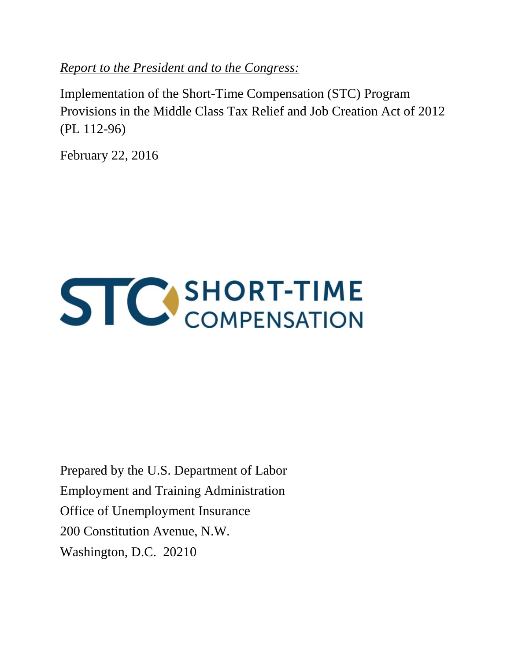*Report to the President and to the Congress:*

Implementation of the Short-Time Compensation (STC) Program Provisions in the Middle Class Tax Relief and Job Creation Act of 2012 (PL 112-96)

February 22, 2016



Prepared by the U.S. Department of Labor Employment and Training Administration Office of Unemployment Insurance 200 Constitution Avenue, N.W. Washington, D.C. 20210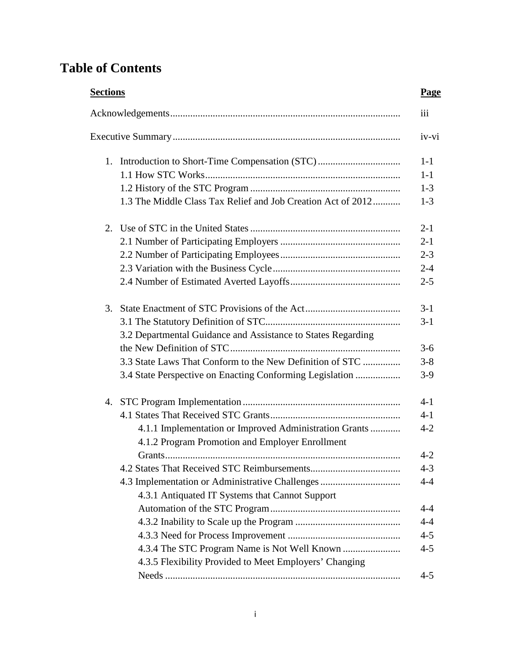# **Table of Contents**

| <b>Sections</b> |                                                              | Page    |
|-----------------|--------------------------------------------------------------|---------|
|                 |                                                              | iii     |
|                 |                                                              | iv-vi   |
| 1.              |                                                              | $1 - 1$ |
|                 |                                                              | $1 - 1$ |
|                 |                                                              | $1 - 3$ |
|                 | 1.3 The Middle Class Tax Relief and Job Creation Act of 2012 | $1-3$   |
| 2.              |                                                              | $2 - 1$ |
|                 |                                                              | $2 - 1$ |
|                 |                                                              | $2 - 3$ |
|                 |                                                              | $2 - 4$ |
|                 |                                                              | $2 - 5$ |
| 3.              |                                                              | $3-1$   |
|                 |                                                              | $3-1$   |
|                 | 3.2 Departmental Guidance and Assistance to States Regarding |         |
|                 |                                                              | $3-6$   |
|                 | 3.3 State Laws That Conform to the New Definition of STC     | $3 - 8$ |
|                 | 3.4 State Perspective on Enacting Conforming Legislation     | $3-9$   |
|                 |                                                              | $4 - 1$ |
|                 |                                                              | $4 - 1$ |
|                 | 4.1.1 Implementation or Improved Administration Grants       | $4 - 2$ |
|                 | 4.1.2 Program Promotion and Employer Enrollment              |         |
|                 | Grants.                                                      | $4 - 2$ |
|                 |                                                              | $4 - 3$ |
|                 | 4.3 Implementation or Administrative Challenges              | $4 - 4$ |
|                 | 4.3.1 Antiquated IT Systems that Cannot Support              |         |
|                 |                                                              | $4 - 4$ |
|                 |                                                              | $4 - 4$ |
|                 |                                                              | $4 - 5$ |
|                 |                                                              | $4 - 5$ |
|                 | 4.3.5 Flexibility Provided to Meet Employers' Changing       |         |
|                 |                                                              | $4 - 5$ |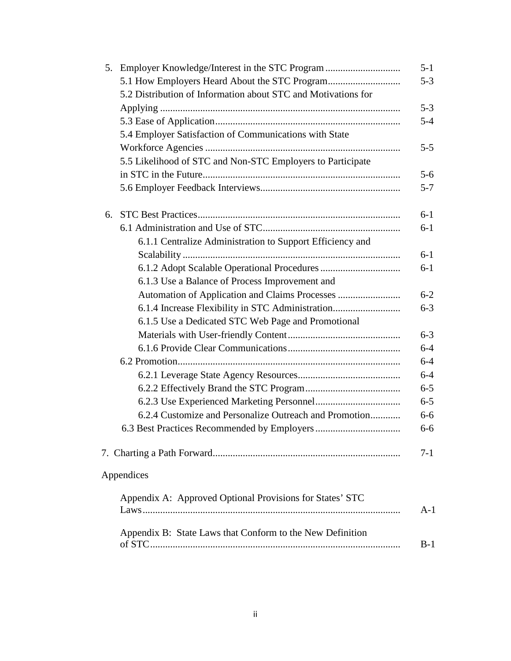| 5. |                                                               | $5 - 1$ |
|----|---------------------------------------------------------------|---------|
|    | 5.1 How Employers Heard About the STC Program                 | $5 - 3$ |
|    | 5.2 Distribution of Information about STC and Motivations for |         |
|    |                                                               | $5 - 3$ |
|    |                                                               | $5 - 4$ |
|    | 5.4 Employer Satisfaction of Communications with State        |         |
|    |                                                               | $5 - 5$ |
|    | 5.5 Likelihood of STC and Non-STC Employers to Participate    |         |
|    |                                                               | $5 - 6$ |
|    |                                                               | $5 - 7$ |
| 6. |                                                               | $6-1$   |
|    |                                                               | $6-1$   |
|    | 6.1.1 Centralize Administration to Support Efficiency and     |         |
|    |                                                               | $6-1$   |
|    |                                                               | $6-1$   |
|    | 6.1.3 Use a Balance of Process Improvement and                |         |
|    |                                                               | $6 - 2$ |
|    | 6.1.4 Increase Flexibility in STC Administration              | $6 - 3$ |
|    | 6.1.5 Use a Dedicated STC Web Page and Promotional            |         |
|    |                                                               | $6 - 3$ |
|    |                                                               | $6 - 4$ |
|    |                                                               | $6 - 4$ |
|    |                                                               | $6 - 4$ |
|    |                                                               | $6 - 5$ |
|    |                                                               | $6 - 5$ |
|    | 6.2.4 Customize and Personalize Outreach and Promotion        | $6 - 6$ |
|    |                                                               | $6 - 6$ |
|    |                                                               | 7-1     |
|    | Appendices                                                    |         |
|    | Appendix A: Approved Optional Provisions for States' STC      |         |
|    |                                                               | $A-1$   |
|    | Appendix B: State Laws that Conform to the New Definition     | $B-1$   |
|    |                                                               |         |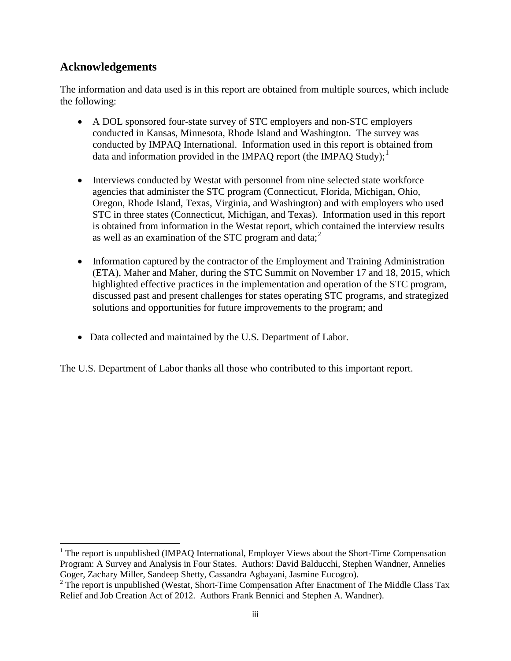### **Acknowledgements**

l

The information and data used is in this report are obtained from multiple sources, which include the following:

- A DOL sponsored four-state survey of STC employers and non-STC employers conducted in Kansas, Minnesota, Rhode Island and Washington. The survey was conducted by IMPAQ International. Information used in this report is obtained from data and information provided in the IMPAQ report (the IMPAQ Study);<sup>[1](#page-3-0)</sup>
- Interviews conducted by Westat with personnel from nine selected state workforce agencies that administer the STC program (Connecticut, Florida, Michigan, Ohio, Oregon, Rhode Island, Texas, Virginia, and Washington) and with employers who used STC in three states (Connecticut, Michigan, and Texas). Information used in this report is obtained from information in the Westat report, which contained the interview results as well as an examination of the STC program and data; $^2$  $^2$
- Information captured by the contractor of the Employment and Training Administration (ETA), Maher and Maher, during the STC Summit on November 17 and 18, 2015, which highlighted effective practices in the implementation and operation of the STC program, discussed past and present challenges for states operating STC programs, and strategized solutions and opportunities for future improvements to the program; and
- Data collected and maintained by the U.S. Department of Labor.

The U.S. Department of Labor thanks all those who contributed to this important report.

<span id="page-3-0"></span><sup>&</sup>lt;sup>1</sup> The report is unpublished (IMPAQ International, Employer Views about the Short-Time Compensation Program: A Survey and Analysis in Four States. Authors: David Balducchi, Stephen Wandner, Annelies Goger, Zachary Miller, Sandeep Shetty, Cassandra Agbayani, Jasmine Eucogco).

<span id="page-3-1"></span> $2^2$  The report is unpublished (Westat, Short-Time Compensation After Enactment of The Middle Class Tax Relief and Job Creation Act of 2012. Authors Frank Bennici and Stephen A. Wandner).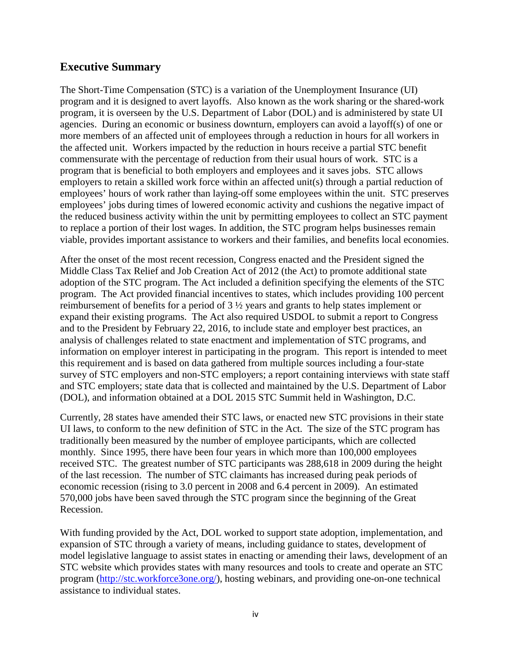### **Executive Summary**

The Short-Time Compensation (STC) is a variation of the Unemployment Insurance (UI) program and it is designed to avert layoffs. Also known as the work sharing or the shared-work program, it is overseen by the U.S. Department of Labor (DOL) and is administered by state UI agencies. During an economic or business downturn, employers can avoid a layoff(s) of one or more members of an affected unit of employees through a reduction in hours for all workers in the affected unit. Workers impacted by the reduction in hours receive a partial STC benefit commensurate with the percentage of reduction from their usual hours of work. STC is a program that is beneficial to both employers and employees and it saves jobs. STC allows employers to retain a skilled work force within an affected unit(s) through a partial reduction of employees' hours of work rather than laying-off some employees within the unit. STC preserves employees' jobs during times of lowered economic activity and cushions the negative impact of the reduced business activity within the unit by permitting employees to collect an STC payment to replace a portion of their lost wages. In addition, the STC program helps businesses remain viable, provides important assistance to workers and their families, and benefits local economies.

After the onset of the most recent recession, Congress enacted and the President signed the Middle Class Tax Relief and Job Creation Act of 2012 (the Act) to promote additional state adoption of the STC program. The Act included a definition specifying the elements of the STC program. The Act provided financial incentives to states, which includes providing 100 percent reimbursement of benefits for a period of 3 ½ years and grants to help states implement or expand their existing programs. The Act also required USDOL to submit a report to Congress and to the President by February 22, 2016, to include state and employer best practices, an analysis of challenges related to state enactment and implementation of STC programs, and information on employer interest in participating in the program. This report is intended to meet this requirement and is based on data gathered from multiple sources including a four-state survey of STC employers and non-STC employers; a report containing interviews with state staff and STC employers; state data that is collected and maintained by the U.S. Department of Labor (DOL), and information obtained at a DOL 2015 STC Summit held in Washington, D.C.

Currently, 28 states have amended their STC laws, or enacted new STC provisions in their state UI laws, to conform to the new definition of STC in the Act. The size of the STC program has traditionally been measured by the number of employee participants, which are collected monthly. Since 1995, there have been four years in which more than 100,000 employees received STC. The greatest number of STC participants was 288,618 in 2009 during the height of the last recession. The number of STC claimants has increased during peak periods of economic recession (rising to 3.0 percent in 2008 and 6.4 percent in 2009). An estimated 570,000 jobs have been saved through the STC program since the beginning of the Great Recession.

With funding provided by the Act, DOL worked to support state adoption, implementation, and expansion of STC through a variety of means, including guidance to states, development of model legislative language to assist states in enacting or amending their laws, development of an STC website which provides states with many resources and tools to create and operate an STC program [\(http://stc.workforce3one.org/\)](http://stc.workforce3one.org/), hosting webinars, and providing one-on-one technical assistance to individual states.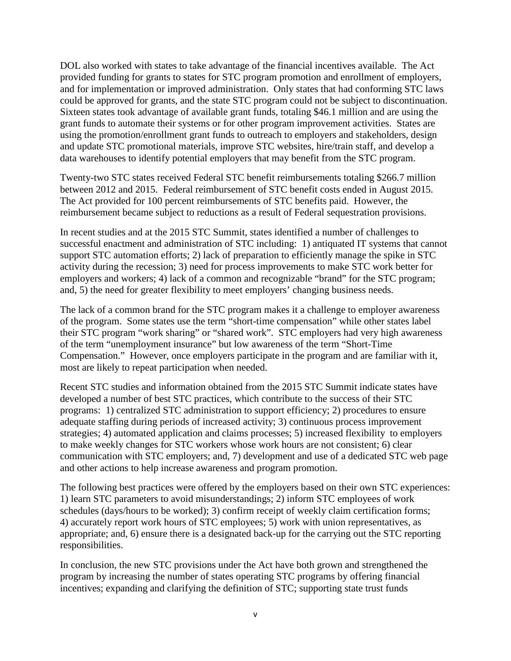DOL also worked with states to take advantage of the financial incentives available. The Act provided funding for grants to states for STC program promotion and enrollment of employers, and for implementation or improved administration. Only states that had conforming STC laws could be approved for grants, and the state STC program could not be subject to discontinuation. Sixteen states took advantage of available grant funds, totaling \$46.1 million and are using the grant funds to automate their systems or for other program improvement activities. States are using the promotion/enrollment grant funds to outreach to employers and stakeholders, design and update STC promotional materials, improve STC websites, hire/train staff, and develop a data warehouses to identify potential employers that may benefit from the STC program.

Twenty-two STC states received Federal STC benefit reimbursements totaling \$266.7 million between 2012 and 2015. Federal reimbursement of STC benefit costs ended in August 2015. The Act provided for 100 percent reimbursements of STC benefits paid. However, the reimbursement became subject to reductions as a result of Federal sequestration provisions.

In recent studies and at the 2015 STC Summit, states identified a number of challenges to successful enactment and administration of STC including: 1) antiquated IT systems that cannot support STC automation efforts; 2) lack of preparation to efficiently manage the spike in STC activity during the recession; 3) need for process improvements to make STC work better for employers and workers; 4) lack of a common and recognizable "brand" for the STC program; and, 5) the need for greater flexibility to meet employers' changing business needs.

The lack of a common brand for the STC program makes it a challenge to employer awareness of the program. Some states use the term "short-time compensation" while other states label their STC program "work sharing" or "shared work". STC employers had very high awareness of the term "unemployment insurance" but low awareness of the term "Short-Time Compensation." However, once employers participate in the program and are familiar with it, most are likely to repeat participation when needed.

Recent STC studies and information obtained from the 2015 STC Summit indicate states have developed a number of best STC practices, which contribute to the success of their STC programs: 1) centralized STC administration to support efficiency; 2) procedures to ensure adequate staffing during periods of increased activity; 3) continuous process improvement strategies; 4) automated application and claims processes; 5) increased flexibility to employers to make weekly changes for STC workers whose work hours are not consistent; 6) clear communication with STC employers; and, 7) development and use of a dedicated STC web page and other actions to help increase awareness and program promotion.

The following best practices were offered by the employers based on their own STC experiences: 1) learn STC parameters to avoid misunderstandings; 2) inform STC employees of work schedules (days/hours to be worked); 3) confirm receipt of weekly claim certification forms; 4) accurately report work hours of STC employees; 5) work with union representatives, as appropriate; and, 6) ensure there is a designated back-up for the carrying out the STC reporting responsibilities.

In conclusion, the new STC provisions under the Act have both grown and strengthened the program by increasing the number of states operating STC programs by offering financial incentives; expanding and clarifying the definition of STC; supporting state trust funds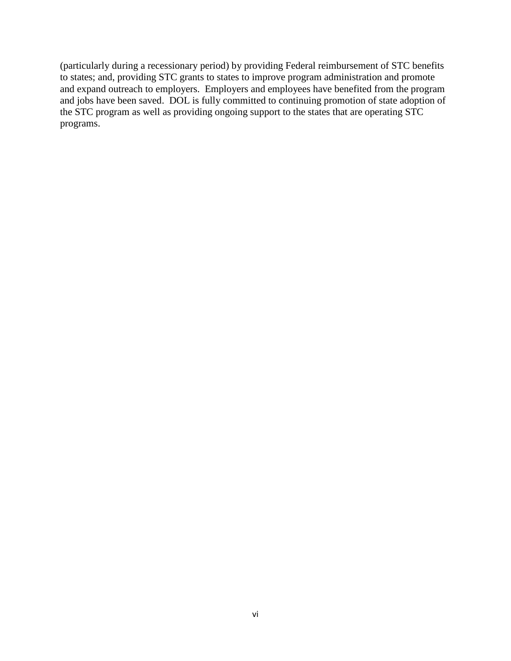(particularly during a recessionary period) by providing Federal reimbursement of STC benefits to states; and, providing STC grants to states to improve program administration and promote and expand outreach to employers. Employers and employees have benefited from the program and jobs have been saved. DOL is fully committed to continuing promotion of state adoption of the STC program as well as providing ongoing support to the states that are operating STC programs.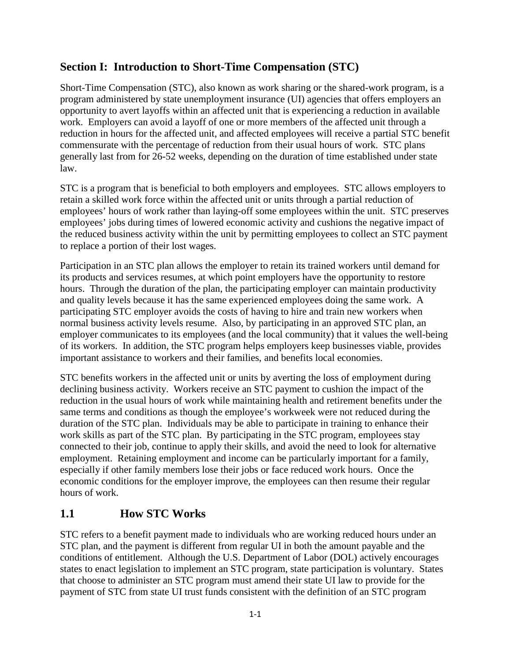# **Section I: Introduction to Short-Time Compensation (STC)**

Short-Time Compensation (STC), also known as work sharing or the shared-work program, is a program administered by state unemployment insurance (UI) agencies that offers employers an opportunity to avert layoffs within an affected unit that is experiencing a reduction in available work. Employers can avoid a layoff of one or more members of the affected unit through a reduction in hours for the affected unit, and affected employees will receive a partial STC benefit commensurate with the percentage of reduction from their usual hours of work. STC plans generally last from for 26-52 weeks, depending on the duration of time established under state law.

STC is a program that is beneficial to both employers and employees. STC allows employers to retain a skilled work force within the affected unit or units through a partial reduction of employees' hours of work rather than laying-off some employees within the unit. STC preserves employees' jobs during times of lowered economic activity and cushions the negative impact of the reduced business activity within the unit by permitting employees to collect an STC payment to replace a portion of their lost wages.

Participation in an STC plan allows the employer to retain its trained workers until demand for its products and services resumes, at which point employers have the opportunity to restore hours. Through the duration of the plan, the participating employer can maintain productivity and quality levels because it has the same experienced employees doing the same work. A participating STC employer avoids the costs of having to hire and train new workers when normal business activity levels resume. Also, by participating in an approved STC plan, an employer communicates to its employees (and the local community) that it values the well-being of its workers. In addition, the STC program helps employers keep businesses viable, provides important assistance to workers and their families, and benefits local economies.

STC benefits workers in the affected unit or units by averting the loss of employment during declining business activity. Workers receive an STC payment to cushion the impact of the reduction in the usual hours of work while maintaining health and retirement benefits under the same terms and conditions as though the employee's workweek were not reduced during the duration of the STC plan. Individuals may be able to participate in training to enhance their work skills as part of the STC plan. By participating in the STC program, employees stay connected to their job, continue to apply their skills, and avoid the need to look for alternative employment. Retaining employment and income can be particularly important for a family, especially if other family members lose their jobs or face reduced work hours. Once the economic conditions for the employer improve, the employees can then resume their regular hours of work.

# **1.1 How STC Works**

STC refers to a benefit payment made to individuals who are working reduced hours under an STC plan, and the payment is different from regular UI in both the amount payable and the conditions of entitlement. Although the U.S. Department of Labor (DOL) actively encourages states to enact legislation to implement an STC program, state participation is voluntary. States that choose to administer an STC program must amend their state UI law to provide for the payment of STC from state UI trust funds consistent with the definition of an STC program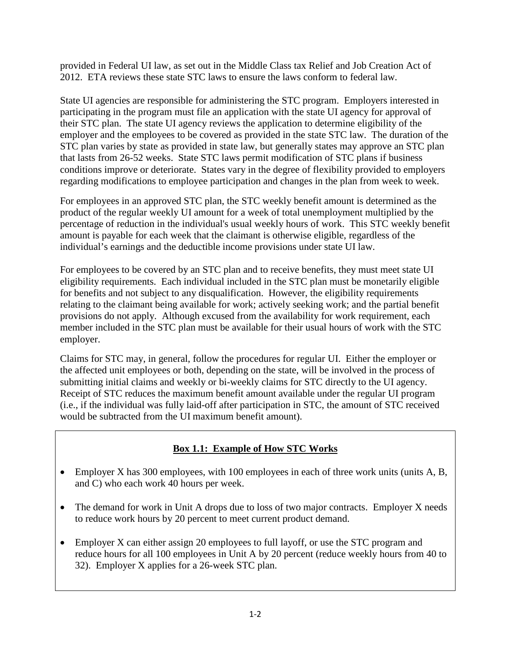provided in Federal UI law, as set out in the Middle Class tax Relief and Job Creation Act of 2012. ETA reviews these state STC laws to ensure the laws conform to federal law.

State UI agencies are responsible for administering the STC program. Employers interested in participating in the program must file an application with the state UI agency for approval of their STC plan. The state UI agency reviews the application to determine eligibility of the employer and the employees to be covered as provided in the state STC law. The duration of the STC plan varies by state as provided in state law, but generally states may approve an STC plan that lasts from 26-52 weeks. State STC laws permit modification of STC plans if business conditions improve or deteriorate. States vary in the degree of flexibility provided to employers regarding modifications to employee participation and changes in the plan from week to week.

For employees in an approved STC plan, the STC weekly benefit amount is determined as the product of the regular weekly UI amount for a week of total unemployment multiplied by the percentage of reduction in the individual's usual weekly hours of work. This STC weekly benefit amount is payable for each week that the claimant is otherwise eligible, regardless of the individual's earnings and the deductible income provisions under state UI law.

For employees to be covered by an STC plan and to receive benefits, they must meet state UI eligibility requirements. Each individual included in the STC plan must be monetarily eligible for benefits and not subject to any disqualification. However, the eligibility requirements relating to the claimant being available for work; actively seeking work; and the partial benefit provisions do not apply. Although excused from the availability for work requirement, each member included in the STC plan must be available for their usual hours of work with the STC employer.

Claims for STC may, in general, follow the procedures for regular UI. Either the employer or the affected unit employees or both, depending on the state, will be involved in the process of submitting initial claims and weekly or bi-weekly claims for STC directly to the UI agency. Receipt of STC reduces the maximum benefit amount available under the regular UI program (i.e., if the individual was fully laid-off after participation in STC, the amount of STC received would be subtracted from the UI maximum benefit amount).

### **Box 1.1: Example of How STC Works**

- Employer X has 300 employees, with 100 employees in each of three work units (units A, B, and C) who each work 40 hours per week.
- The demand for work in Unit A drops due to loss of two major contracts. Employer X needs to reduce work hours by 20 percent to meet current product demand.
- Employer X can either assign 20 employees to full layoff, or use the STC program and reduce hours for all 100 employees in Unit A by 20 percent (reduce weekly hours from 40 to 32). Employer X applies for a 26-week STC plan.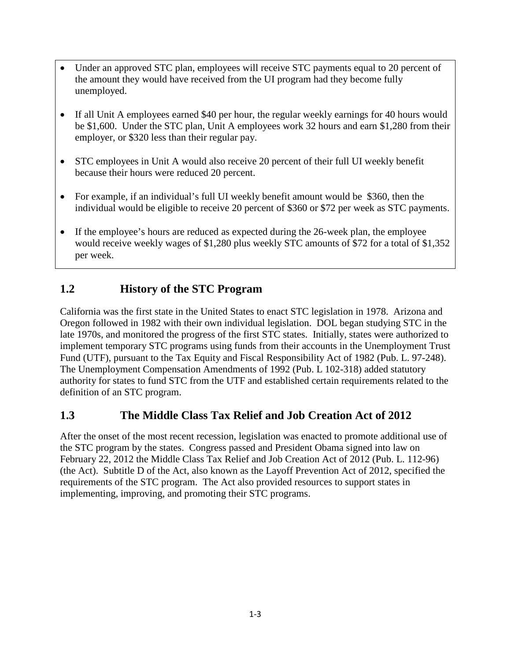- Under an approved STC plan, employees will receive STC payments equal to 20 percent of the amount they would have received from the UI program had they become fully unemployed.
- If all Unit A employees earned \$40 per hour, the regular weekly earnings for 40 hours would be \$1,600. Under the STC plan, Unit A employees work 32 hours and earn \$1,280 from their employer, or \$320 less than their regular pay.
- STC employees in Unit A would also receive 20 percent of their full UI weekly benefit because their hours were reduced 20 percent.
- For example, if an individual's full UI weekly benefit amount would be \$360, then the individual would be eligible to receive 20 percent of \$360 or \$72 per week as STC payments.
- If the employee's hours are reduced as expected during the 26-week plan, the employee would receive weekly wages of \$1,280 plus weekly STC amounts of \$72 for a total of \$1,352 per week.

# **1.2 History of the STC Program**

California was the first state in the United States to enact STC legislation in 1978. Arizona and Oregon followed in 1982 with their own individual legislation. DOL began studying STC in the late 1970s, and monitored the progress of the first STC states. Initially, states were authorized to implement temporary STC programs using funds from their accounts in the Unemployment Trust Fund (UTF), pursuant to the Tax Equity and Fiscal Responsibility Act of 1982 (Pub. L. 97-248). The Unemployment Compensation Amendments of 1992 (Pub. L 102-318) added statutory authority for states to fund STC from the UTF and established certain requirements related to the definition of an STC program.

### **1.3 The Middle Class Tax Relief and Job Creation Act of 2012**

After the onset of the most recent recession, legislation was enacted to promote additional use of the STC program by the states. Congress passed and President Obama signed into law on February 22, 2012 the Middle Class Tax Relief and Job Creation Act of 2012 (Pub. L. 112-96) (the Act). Subtitle D of the Act, also known as the Layoff Prevention Act of 2012, specified the requirements of the STC program. The Act also provided resources to support states in implementing, improving, and promoting their STC programs.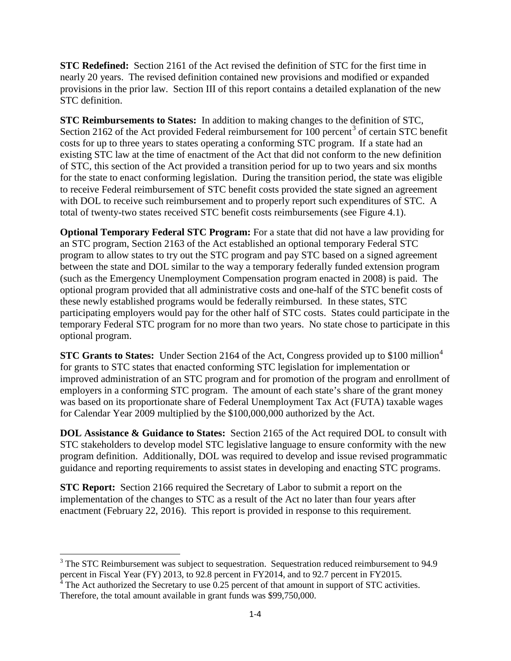**STC Redefined:** Section 2161 of the Act revised the definition of STC for the first time in nearly 20 years. The revised definition contained new provisions and modified or expanded provisions in the prior law. Section III of this report contains a detailed explanation of the new STC definition.

**STC Reimbursements to States:** In addition to making changes to the definition of STC, Section 2162 of the Act provided Federal reimbursement for 100 percent<sup>[3](#page-10-0)</sup> of certain STC benefit costs for up to three years to states operating a conforming STC program. If a state had an existing STC law at the time of enactment of the Act that did not conform to the new definition of STC, this section of the Act provided a transition period for up to two years and six months for the state to enact conforming legislation. During the transition period, the state was eligible to receive Federal reimbursement of STC benefit costs provided the state signed an agreement with DOL to receive such reimbursement and to properly report such expenditures of STC. A total of twenty-two states received STC benefit costs reimbursements (see Figure 4.1).

**Optional Temporary Federal STC Program:** For a state that did not have a law providing for an STC program, Section 2163 of the Act established an optional temporary Federal STC program to allow states to try out the STC program and pay STC based on a signed agreement between the state and DOL similar to the way a temporary federally funded extension program (such as the Emergency Unemployment Compensation program enacted in 2008) is paid. The optional program provided that all administrative costs and one-half of the STC benefit costs of these newly established programs would be federally reimbursed. In these states, STC participating employers would pay for the other half of STC costs. States could participate in the temporary Federal STC program for no more than two years. No state chose to participate in this optional program.

**STC Grants to States:** Under Section 216[4](#page-10-1) of the Act, Congress provided up to \$100 million<sup>4</sup> for grants to STC states that enacted conforming STC legislation for implementation or improved administration of an STC program and for promotion of the program and enrollment of employers in a conforming STC program. The amount of each state's share of the grant money was based on its proportionate share of Federal Unemployment Tax Act (FUTA) taxable wages for Calendar Year 2009 multiplied by the \$100,000,000 authorized by the Act.

**DOL Assistance & Guidance to States:** Section 2165 of the Act required DOL to consult with STC stakeholders to develop model STC legislative language to ensure conformity with the new program definition. Additionally, DOL was required to develop and issue revised programmatic guidance and reporting requirements to assist states in developing and enacting STC programs.

**STC Report:** Section 2166 required the Secretary of Labor to submit a report on the implementation of the changes to STC as a result of the Act no later than four years after enactment (February 22, 2016). This report is provided in response to this requirement.

 $\overline{\phantom{a}}$ 

<span id="page-10-0"></span> $3$  The STC Reimbursement was subject to sequestration. Sequestration reduced reimbursement to 94.9 percent in Fiscal Year (FY) 2013, to 92.8 percent in FY2014, and to 92.7 percent in FY2015.

<span id="page-10-1"></span> $4 \text{ The Act authorized the Secretary to use } 0.25 \text{ percent of that amount in support of STC activities.}$ Therefore, the total amount available in grant funds was \$99,750,000.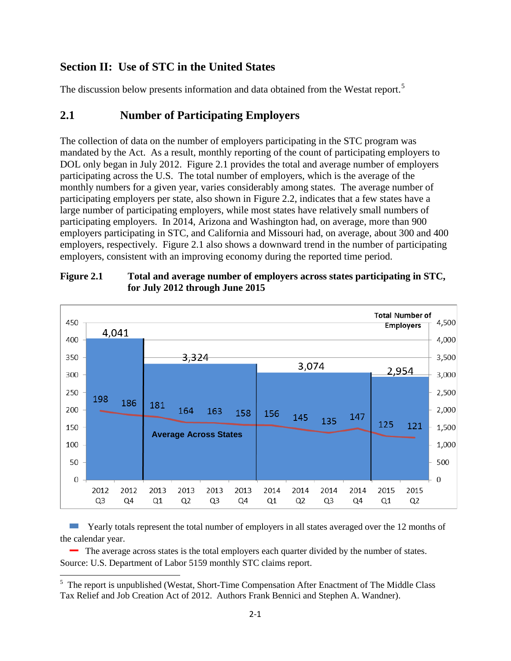# **Section II: Use of STC in the United States**

The discussion below presents information and data obtained from the Westat report.<sup>[5](#page-11-0)</sup>

### **2.1 Number of Participating Employers**

The collection of data on the number of employers participating in the STC program was mandated by the Act. As a result, monthly reporting of the count of participating employers to DOL only began in July 2012. Figure 2.1 provides the total and average number of employers participating across the U.S. The total number of employers, which is the average of the monthly numbers for a given year, varies considerably among states. The average number of participating employers per state, also shown in Figure 2.2, indicates that a few states have a large number of participating employers, while most states have relatively small numbers of participating employers. In 2014, Arizona and Washington had, on average, more than 900 employers participating in STC, and California and Missouri had, on average, about 300 and 400 employers, respectively. Figure 2.1 also shows a downward trend in the number of participating employers, consistent with an improving economy during the reported time period.



#### **Figure 2.1 Total and average number of employers across states participating in STC, for July 2012 through June 2015**

Yearly totals represent the total number of employers in all states averaged over the 12 months of the calendar year.

 The average across states is the total employers each quarter divided by the number of states. Source: U.S. Department of Labor 5159 monthly STC claims report.

<span id="page-11-0"></span><sup>&</sup>lt;sup>5</sup> The report is unpublished (Westat, Short-Time Compensation After Enactment of The Middle Class Tax Relief and Job Creation Act of 2012. Authors Frank Bennici and Stephen A. Wandner).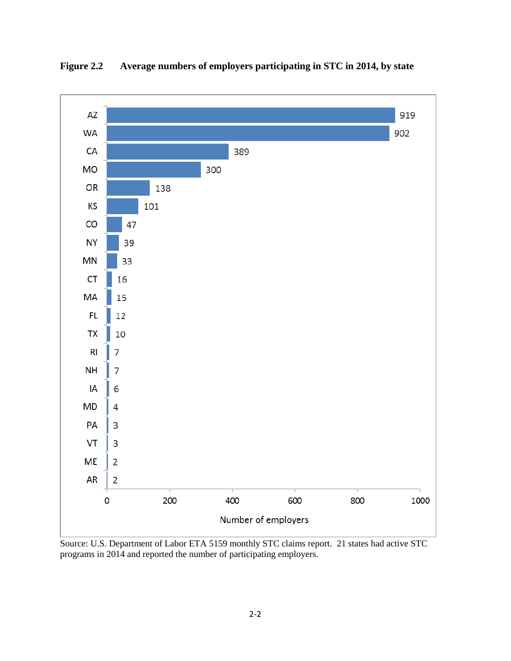

**Figure 2.2 Average numbers of employers participating in STC in 2014, by state**

Source: U.S. Department of Labor ETA 5159 monthly STC claims report. 21 states had active STC programs in 2014 and reported the number of participating employers.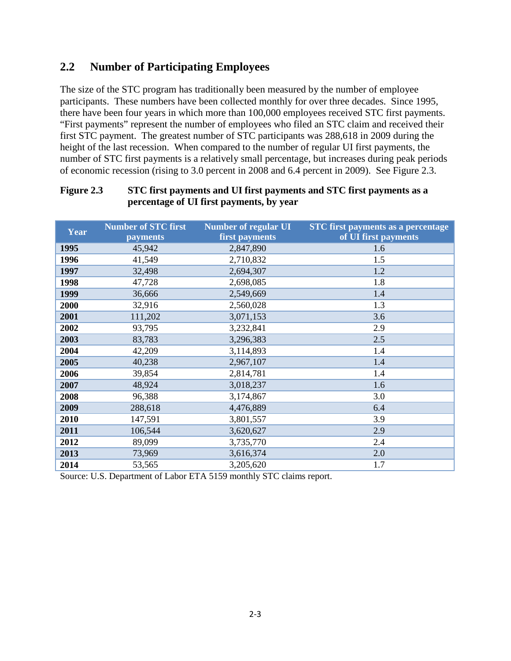# **2.2 Number of Participating Employees**

The size of the STC program has traditionally been measured by the number of employee participants. These numbers have been collected monthly for over three decades. Since 1995, there have been four years in which more than 100,000 employees received STC first payments. "First payments" represent the number of employees who filed an STC claim and received their first STC payment. The greatest number of STC participants was 288,618 in 2009 during the height of the last recession. When compared to the number of regular UI first payments, the number of STC first payments is a relatively small percentage, but increases during peak periods of economic recession (rising to 3.0 percent in 2008 and 6.4 percent in 2009). See Figure 2.3.

| Year | <b>Number of STC first</b><br>payments | <b>Number of regular UI</b><br>first payments | <b>STC</b> first payments as a percentage<br>of UI first payments |
|------|----------------------------------------|-----------------------------------------------|-------------------------------------------------------------------|
| 1995 | 45,942                                 | 2,847,890                                     | 1.6                                                               |
| 1996 | 41,549                                 | 2,710,832                                     | 1.5                                                               |
| 1997 | 32,498                                 | 2,694,307                                     | 1.2                                                               |
| 1998 | 47,728                                 | 2,698,085                                     | 1.8                                                               |
| 1999 | 36,666                                 | 2,549,669                                     | 1.4                                                               |
| 2000 | 32,916                                 | 2,560,028                                     | 1.3                                                               |
| 2001 | 111,202                                | 3,071,153                                     | 3.6                                                               |
| 2002 | 93,795                                 | 3,232,841                                     | 2.9                                                               |
| 2003 | 83,783                                 | 3,296,383                                     | 2.5                                                               |
| 2004 | 42,209                                 | 3,114,893                                     | 1.4                                                               |
| 2005 | 40,238                                 | 2,967,107                                     | 1.4                                                               |
| 2006 | 39,854                                 | 2,814,781                                     | 1.4                                                               |
| 2007 | 48,924                                 | 3,018,237                                     | 1.6                                                               |
| 2008 | 96,388                                 | 3,174,867                                     | 3.0                                                               |
| 2009 | 288,618                                | 4,476,889                                     | 6.4                                                               |
| 2010 | 147,591                                | 3,801,557                                     | 3.9                                                               |
| 2011 | 106,544                                | 3,620,627                                     | 2.9                                                               |
| 2012 | 89,099                                 | 3,735,770                                     | 2.4                                                               |
| 2013 | 73,969                                 | 3,616,374                                     | 2.0                                                               |
| 2014 | 53,565                                 | 3,205,620                                     | 1.7                                                               |

#### **Figure 2.3 STC first payments and UI first payments and STC first payments as a percentage of UI first payments, by year**

Source: U.S. Department of Labor ETA 5159 monthly STC claims report.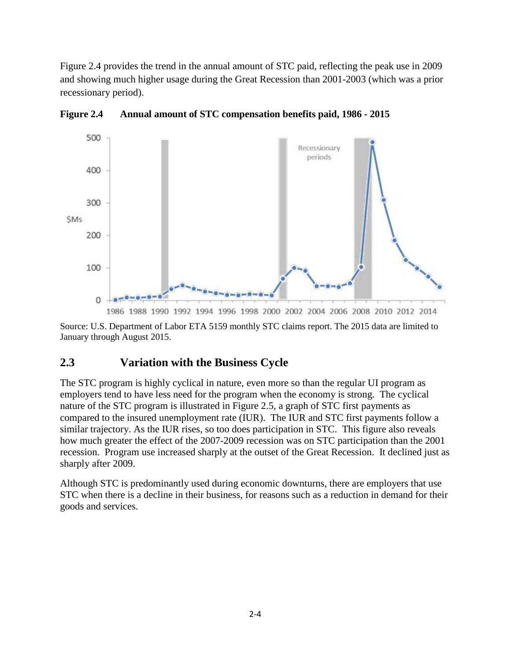Figure 2.4 provides the trend in the annual amount of STC paid, reflecting the peak use in 2009 and showing much higher usage during the Great Recession than 2001-2003 (which was a prior recessionary period).



**Figure 2.4 Annual amount of STC compensation benefits paid, 1986 - 2015** 

Source: U.S. Department of Labor ETA 5159 monthly STC claims report. The 2015 data are limited to January through August 2015.

### **2.3 Variation with the Business Cycle**

The STC program is highly cyclical in nature, even more so than the regular UI program as employers tend to have less need for the program when the economy is strong. The cyclical nature of the STC program is illustrated in Figure 2.5, a graph of STC first payments as compared to the insured unemployment rate (IUR). The IUR and STC first payments follow a similar trajectory. As the IUR rises, so too does participation in STC. This figure also reveals how much greater the effect of the 2007-2009 recession was on STC participation than the 2001 recession. Program use increased sharply at the outset of the Great Recession. It declined just as sharply after 2009.

Although STC is predominantly used during economic downturns, there are employers that use STC when there is a decline in their business, for reasons such as a reduction in demand for their goods and services.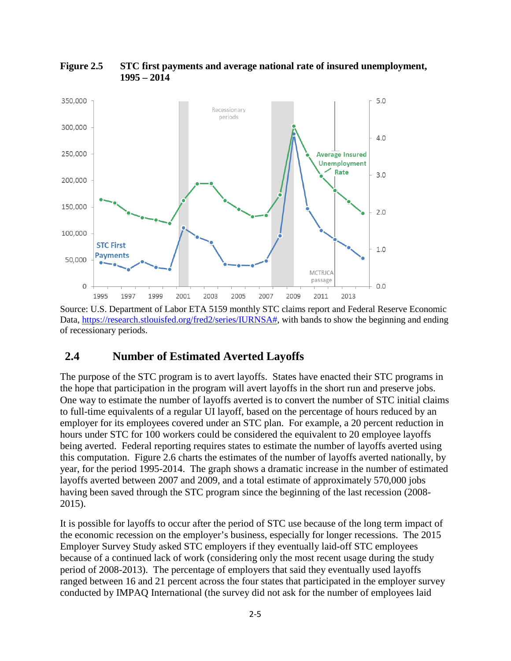

**Figure 2.5 STC first payments and average national rate of insured unemployment, 1995 – 2014**

Source: U.S. Department of Labor ETA 5159 monthly STC claims report and Federal Reserve Economic Data, [https://research.stlouisfed.org/fred2/series/IURNSA#,](https://research.stlouisfed.org/fred2/series/IURNSA) with bands to show the beginning and ending of recessionary periods.

### **2.4 Number of Estimated Averted Layoffs**

The purpose of the STC program is to avert layoffs. States have enacted their STC programs in the hope that participation in the program will avert layoffs in the short run and preserve jobs. One way to estimate the number of layoffs averted is to convert the number of STC initial claims to full-time equivalents of a regular UI layoff, based on the percentage of hours reduced by an employer for its employees covered under an STC plan. For example, a 20 percent reduction in hours under STC for 100 workers could be considered the equivalent to 20 employee layoffs being averted. Federal reporting requires states to estimate the number of layoffs averted using this computation. Figure 2.6 charts the estimates of the number of layoffs averted nationally, by year, for the period 1995-2014. The graph shows a dramatic increase in the number of estimated layoffs averted between 2007 and 2009, and a total estimate of approximately 570,000 jobs having been saved through the STC program since the beginning of the last recession (2008- 2015).

It is possible for layoffs to occur after the period of STC use because of the long term impact of the economic recession on the employer's business, especially for longer recessions. The 2015 Employer Survey Study asked STC employers if they eventually laid-off STC employees because of a continued lack of work (considering only the most recent usage during the study period of 2008-2013). The percentage of employers that said they eventually used layoffs ranged between 16 and 21 percent across the four states that participated in the employer survey conducted by IMPAQ International (the survey did not ask for the number of employees laid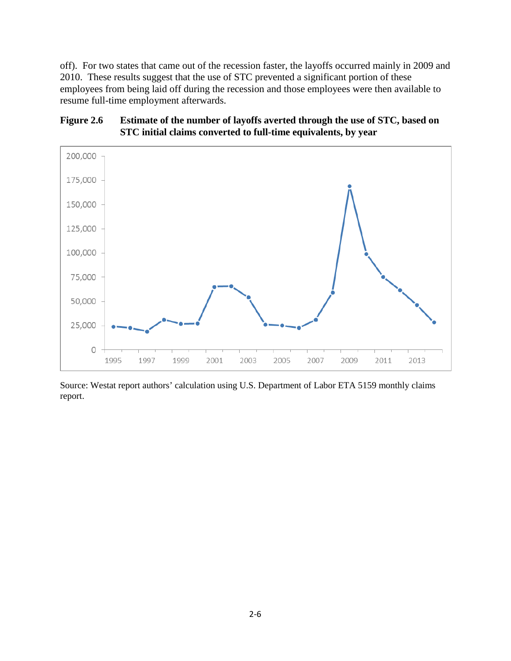off). For two states that came out of the recession faster, the layoffs occurred mainly in 2009 and 2010. These results suggest that the use of STC prevented a significant portion of these employees from being laid off during the recession and those employees were then available to resume full-time employment afterwards.

#### **Figure 2.6 Estimate of the number of layoffs averted through the use of STC, based on STC initial claims converted to full-time equivalents, by year**



Source: Westat report authors' calculation using U.S. Department of Labor ETA 5159 monthly claims report.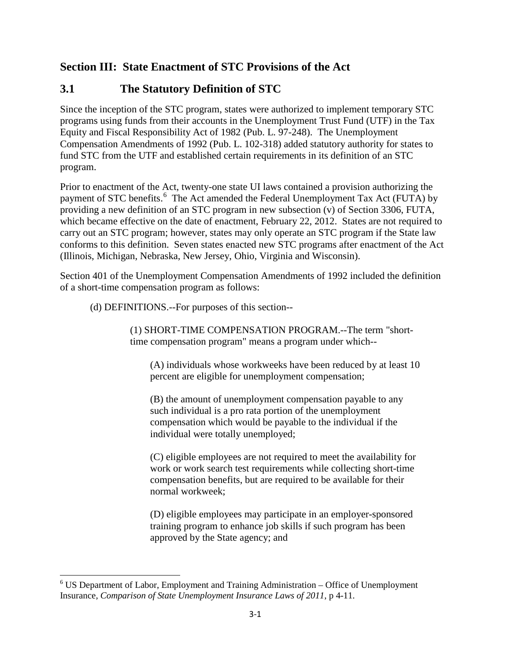# **Section III: State Enactment of STC Provisions of the Act**

# **3.1 The Statutory Definition of STC**

Since the inception of the STC program, states were authorized to implement temporary STC programs using funds from their accounts in the Unemployment Trust Fund (UTF) in the Tax Equity and Fiscal Responsibility Act of 1982 (Pub. L. 97-248). The Unemployment Compensation Amendments of 1992 (Pub. L. 102-318) added statutory authority for states to fund STC from the UTF and established certain requirements in its definition of an STC program.

Prior to enactment of the Act, twenty-one state UI laws contained a provision authorizing the payment of STC benefits.<sup>[6](#page-17-0)</sup> The Act amended the Federal Unemployment Tax Act (FUTA) by providing a new definition of an STC program in new subsection (v) of Section 3306, FUTA, which became effective on the date of enactment, February 22, 2012. States are not required to carry out an STC program; however, states may only operate an STC program if the State law conforms to this definition. Seven states enacted new STC programs after enactment of the Act (Illinois, Michigan, Nebraska, New Jersey, Ohio, Virginia and Wisconsin).

Section 401 of the Unemployment Compensation Amendments of 1992 included the definition of a short-time compensation program as follows:

(d) DEFINITIONS.--For purposes of this section--

(1) SHORT-TIME COMPENSATION PROGRAM.--The term "shorttime compensation program" means a program under which--

(A) individuals whose workweeks have been reduced by at least 10 percent are eligible for unemployment compensation;

(B) the amount of unemployment compensation payable to any such individual is a pro rata portion of the unemployment compensation which would be payable to the individual if the individual were totally unemployed;

(C) eligible employees are not required to meet the availability for work or work search test requirements while collecting short-time compensation benefits, but are required to be available for their normal workweek;

(D) eligible employees may participate in an employer-sponsored training program to enhance job skills if such program has been approved by the State agency; and

l

<span id="page-17-0"></span><sup>&</sup>lt;sup>6</sup> US Department of Labor, Employment and Training Administration - Office of Unemployment Insurance, *Comparison of State Unemployment Insurance Laws of 2011*, p 4-11.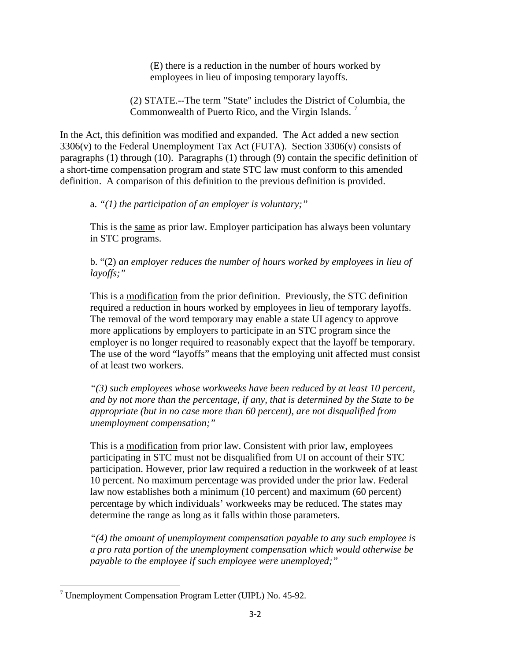(E) there is a reduction in the number of hours worked by employees in lieu of imposing temporary layoffs.

(2) STATE.--The term "State" includes the District of Columbia, the Commonwealth of Puerto Rico, and the Virgin Islands.<sup>[7](#page-18-0)</sup>

In the Act, this definition was modified and expanded. The Act added a new section 3306(v) to the Federal Unemployment Tax Act (FUTA). Section 3306(v) consists of paragraphs (1) through (10). Paragraphs (1) through (9) contain the specific definition of a short-time compensation program and state STC law must conform to this amended definition. A comparison of this definition to the previous definition is provided.

a. *"(1) the participation of an employer is voluntary;"* 

This is the same as prior law. Employer participation has always been voluntary in STC programs.

b. "(2) *an employer reduces the number of hours worked by employees in lieu of layoffs;"* 

This is a modification from the prior definition. Previously, the STC definition required a reduction in hours worked by employees in lieu of temporary layoffs. The removal of the word temporary may enable a state UI agency to approve more applications by employers to participate in an STC program since the employer is no longer required to reasonably expect that the layoff be temporary. The use of the word "layoffs" means that the employing unit affected must consist of at least two workers.

*"(3) such employees whose workweeks have been reduced by at least 10 percent, and by not more than the percentage, if any, that is determined by the State to be appropriate (but in no case more than 60 percent), are not disqualified from unemployment compensation;"* 

This is a modification from prior law. Consistent with prior law, employees participating in STC must not be disqualified from UI on account of their STC participation. However, prior law required a reduction in the workweek of at least 10 percent. No maximum percentage was provided under the prior law. Federal law now establishes both a minimum (10 percent) and maximum (60 percent) percentage by which individuals' workweeks may be reduced. The states may determine the range as long as it falls within those parameters.

*"(4) the amount of unemployment compensation payable to any such employee is a pro rata portion of the unemployment compensation which would otherwise be payable to the employee if such employee were unemployed;"* 

<span id="page-18-0"></span>l <sup>7</sup> Unemployment Compensation Program Letter (UIPL) No. 45-92.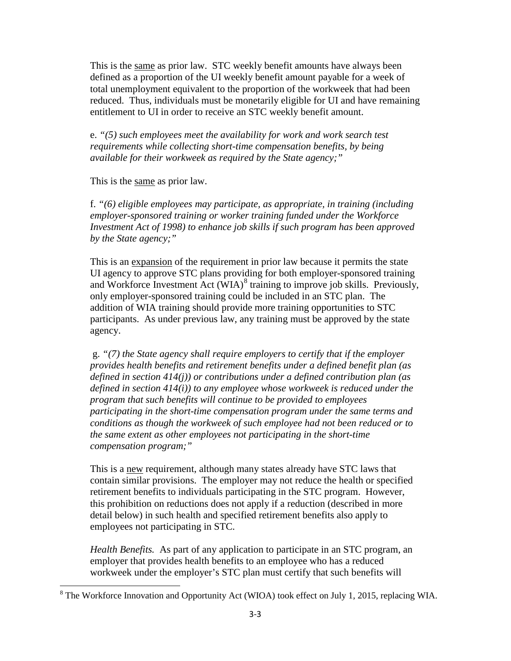This is the same as prior law. STC weekly benefit amounts have always been defined as a proportion of the UI weekly benefit amount payable for a week of total unemployment equivalent to the proportion of the workweek that had been reduced. Thus, individuals must be monetarily eligible for UI and have remaining entitlement to UI in order to receive an STC weekly benefit amount.

e. *"(5) such employees meet the availability for work and work search test requirements while collecting short-time compensation benefits, by being available for their workweek as required by the State agency;"* 

This is the same as prior law.

l

f. *"(6) eligible employees may participate, as appropriate, in training (including employer-sponsored training or worker training funded under the Workforce Investment Act of 1998) to enhance job skills if such program has been approved by the State agency;"* 

This is an expansion of the requirement in prior law because it permits the state UI agency to approve STC plans providing for both employer-sponsored training and Workforce Investment Act (WIA)<sup>[8](#page-19-0)</sup> training to improve job skills. Previously, only employer-sponsored training could be included in an STC plan. The addition of WIA training should provide more training opportunities to STC participants. As under previous law, any training must be approved by the state agency.

g. *"(7) the State agency shall require employers to certify that if the employer provides health benefits and retirement benefits under a defined benefit plan (as defined in section 414(j)) or contributions under a defined contribution plan (as defined in section 414(i)) to any employee whose workweek is reduced under the program that such benefits will continue to be provided to employees participating in the short-time compensation program under the same terms and conditions as though the workweek of such employee had not been reduced or to the same extent as other employees not participating in the short-time compensation program;"* 

This is a new requirement, although many states already have STC laws that contain similar provisions. The employer may not reduce the health or specified retirement benefits to individuals participating in the STC program. However, this prohibition on reductions does not apply if a reduction (described in more detail below) in such health and specified retirement benefits also apply to employees not participating in STC.

*Health Benefits.* As part of any application to participate in an STC program, an employer that provides health benefits to an employee who has a reduced workweek under the employer's STC plan must certify that such benefits will

<span id="page-19-0"></span> $8$  The Workforce Innovation and Opportunity Act (WIOA) took effect on July 1, 2015, replacing WIA.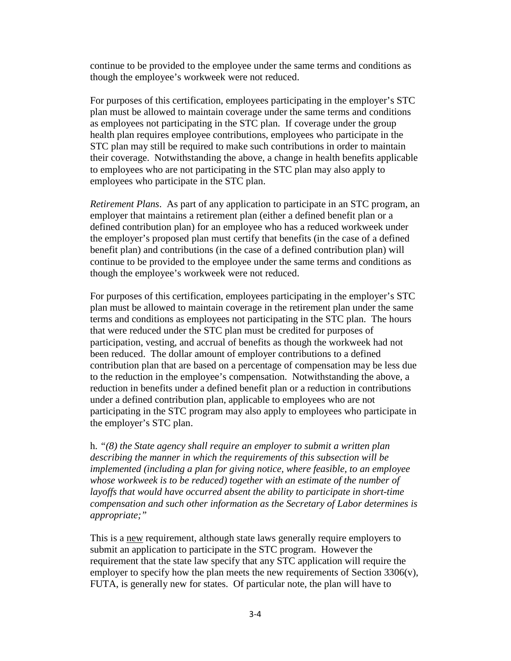continue to be provided to the employee under the same terms and conditions as though the employee's workweek were not reduced.

For purposes of this certification, employees participating in the employer's STC plan must be allowed to maintain coverage under the same terms and conditions as employees not participating in the STC plan. If coverage under the group health plan requires employee contributions, employees who participate in the STC plan may still be required to make such contributions in order to maintain their coverage. Notwithstanding the above, a change in health benefits applicable to employees who are not participating in the STC plan may also apply to employees who participate in the STC plan.

*Retirement Plans*. As part of any application to participate in an STC program, an employer that maintains a retirement plan (either a defined benefit plan or a defined contribution plan) for an employee who has a reduced workweek under the employer's proposed plan must certify that benefits (in the case of a defined benefit plan) and contributions (in the case of a defined contribution plan) will continue to be provided to the employee under the same terms and conditions as though the employee's workweek were not reduced.

For purposes of this certification, employees participating in the employer's STC plan must be allowed to maintain coverage in the retirement plan under the same terms and conditions as employees not participating in the STC plan. The hours that were reduced under the STC plan must be credited for purposes of participation, vesting, and accrual of benefits as though the workweek had not been reduced. The dollar amount of employer contributions to a defined contribution plan that are based on a percentage of compensation may be less due to the reduction in the employee's compensation. Notwithstanding the above, a reduction in benefits under a defined benefit plan or a reduction in contributions under a defined contribution plan, applicable to employees who are not participating in the STC program may also apply to employees who participate in the employer's STC plan.

h. *"(8) the State agency shall require an employer to submit a written plan describing the manner in which the requirements of this subsection will be implemented (including a plan for giving notice, where feasible, to an employee*  whose workweek is to be reduced) together with an estimate of the number of layoffs that would have occurred absent the ability to participate in short-time *compensation and such other information as the Secretary of Labor determines is appropriate;"* 

This is a new requirement, although state laws generally require employers to submit an application to participate in the STC program. However the requirement that the state law specify that any STC application will require the employer to specify how the plan meets the new requirements of Section 3306(v), FUTA, is generally new for states. Of particular note, the plan will have to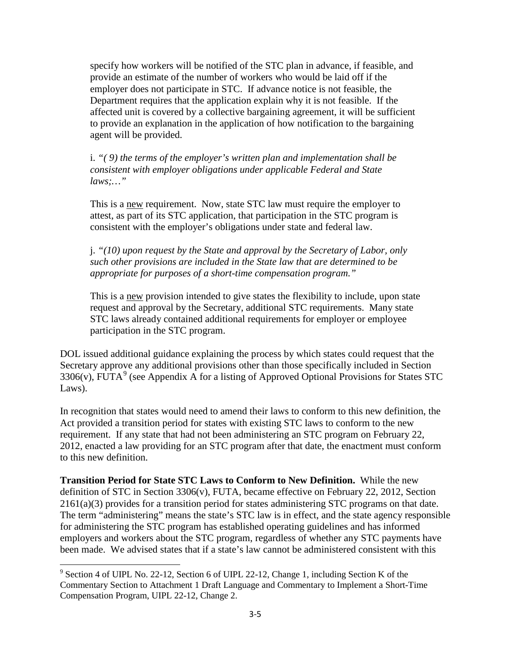specify how workers will be notified of the STC plan in advance, if feasible, and provide an estimate of the number of workers who would be laid off if the employer does not participate in STC. If advance notice is not feasible, the Department requires that the application explain why it is not feasible. If the affected unit is covered by a collective bargaining agreement, it will be sufficient to provide an explanation in the application of how notification to the bargaining agent will be provided.

i. *"( 9) the terms of the employer's written plan and implementation shall be consistent with employer obligations under applicable Federal and State laws;…"* 

This is a new requirement. Now, state STC law must require the employer to attest, as part of its STC application, that participation in the STC program is consistent with the employer's obligations under state and federal law.

j. *"(10) upon request by the State and approval by the Secretary of Labor, only such other provisions are included in the State law that are determined to be appropriate for purposes of a short-time compensation program."* 

This is a new provision intended to give states the flexibility to include, upon state request and approval by the Secretary, additional STC requirements. Many state STC laws already contained additional requirements for employer or employee participation in the STC program.

DOL issued additional guidance explaining the process by which states could request that the Secretary approve any additional provisions other than those specifically included in Section 3306(v), FUTA<sup>[9](#page-21-0)</sup> (see Appendix A for a listing of Approved Optional Provisions for States STC Laws).

In recognition that states would need to amend their laws to conform to this new definition, the Act provided a transition period for states with existing STC laws to conform to the new requirement. If any state that had not been administering an STC program on February 22, 2012, enacted a law providing for an STC program after that date, the enactment must conform to this new definition.

**Transition Period for State STC Laws to Conform to New Definition.** While the new definition of STC in Section 3306(v), FUTA, became effective on February 22, 2012, Section 2161(a)(3) provides for a transition period for states administering STC programs on that date. The term "administering" means the state's STC law is in effect, and the state agency responsible for administering the STC program has established operating guidelines and has informed employers and workers about the STC program, regardless of whether any STC payments have been made. We advised states that if a state's law cannot be administered consistent with this

 $\overline{\phantom{a}}$ 

<span id="page-21-0"></span><sup>&</sup>lt;sup>9</sup> Section 4 of UIPL No. 22-12, Section 6 of UIPL 22-12, Change 1, including Section K of the Commentary Section to Attachment 1 Draft Language and Commentary to Implement a Short-Time Compensation Program, UIPL 22-12, Change 2.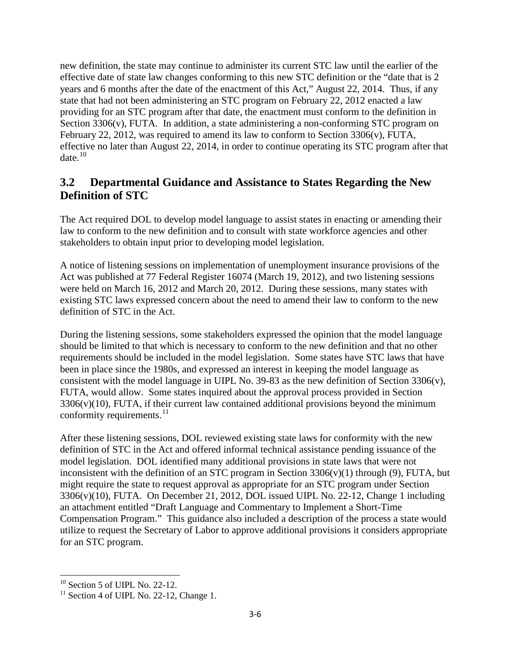new definition, the state may continue to administer its current STC law until the earlier of the effective date of state law changes conforming to this new STC definition or the "date that is 2 years and 6 months after the date of the enactment of this Act," August 22, 2014. Thus, if any state that had not been administering an STC program on February 22, 2012 enacted a law providing for an STC program after that date, the enactment must conform to the definition in Section 3306(v), FUTA. In addition, a state administering a non-conforming STC program on February 22, 2012, was required to amend its law to conform to Section 3306(v), FUTA, effective no later than August 22, 2014, in order to continue operating its STC program after that date. $10$ 

# **3.2 Departmental Guidance and Assistance to States Regarding the New Definition of STC**

The Act required DOL to develop model language to assist states in enacting or amending their law to conform to the new definition and to consult with state workforce agencies and other stakeholders to obtain input prior to developing model legislation.

A notice of listening sessions on implementation of unemployment insurance provisions of the Act was published at 77 Federal Register 16074 (March 19, 2012), and two listening sessions were held on March 16, 2012 and March 20, 2012. During these sessions, many states with existing STC laws expressed concern about the need to amend their law to conform to the new definition of STC in the Act.

During the listening sessions, some stakeholders expressed the opinion that the model language should be limited to that which is necessary to conform to the new definition and that no other requirements should be included in the model legislation. Some states have STC laws that have been in place since the 1980s, and expressed an interest in keeping the model language as consistent with the model language in UIPL No. 39-83 as the new definition of Section 3306(v), FUTA, would allow. Some states inquired about the approval process provided in Section  $3306(v)(10)$ , FUTA, if their current law contained additional provisions beyond the minimum conformity requirements. $^{11}$ 

After these listening sessions, DOL reviewed existing state laws for conformity with the new definition of STC in the Act and offered informal technical assistance pending issuance of the model legislation. DOL identified many additional provisions in state laws that were not inconsistent with the definition of an STC program in Section  $3306(v)(1)$  through (9), FUTA, but might require the state to request approval as appropriate for an STC program under Section 3306(v)(10), FUTA. On December 21, 2012, DOL issued UIPL No. 22-12, Change 1 including an attachment entitled "Draft Language and Commentary to Implement a Short-Time Compensation Program." This guidance also included a description of the process a state would utilize to request the Secretary of Labor to approve additional provisions it considers appropriate for an STC program.

l

 $10$  Section 5 of UIPL No. 22-12.

<span id="page-22-1"></span><span id="page-22-0"></span> $11$  Section 4 of UIPL No. 22-12, Change 1.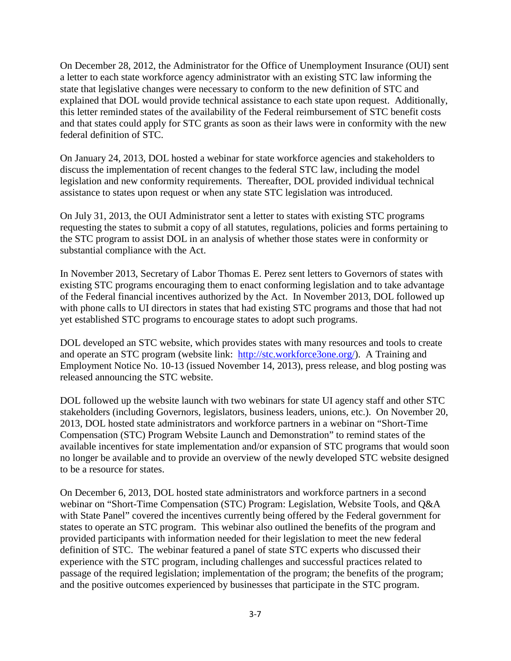On December 28, 2012, the Administrator for the Office of Unemployment Insurance (OUI) sent a letter to each state workforce agency administrator with an existing STC law informing the state that legislative changes were necessary to conform to the new definition of STC and explained that DOL would provide technical assistance to each state upon request. Additionally, this letter reminded states of the availability of the Federal reimbursement of STC benefit costs and that states could apply for STC grants as soon as their laws were in conformity with the new federal definition of STC.

On January 24, 2013, DOL hosted a webinar for state workforce agencies and stakeholders to discuss the implementation of recent changes to the federal STC law, including the model legislation and new conformity requirements. Thereafter, DOL provided individual technical assistance to states upon request or when any state STC legislation was introduced.

On July 31, 2013, the OUI Administrator sent a letter to states with existing STC programs requesting the states to submit a copy of all statutes, regulations, policies and forms pertaining to the STC program to assist DOL in an analysis of whether those states were in conformity or substantial compliance with the Act.

In November 2013, Secretary of Labor Thomas E. Perez sent letters to Governors of states with existing STC programs encouraging them to enact conforming legislation and to take advantage of the Federal financial incentives authorized by the Act. In November 2013, DOL followed up with phone calls to UI directors in states that had existing STC programs and those that had not yet established STC programs to encourage states to adopt such programs.

DOL developed an STC website, which provides states with many resources and tools to create and operate an STC program (website link: [http://stc.workforce3one.org/\)](http://stc.workforce3one.org/). A Training and Employment Notice No. 10-13 (issued November 14, 2013), press release, and blog posting was released announcing the STC website.

DOL followed up the website launch with two webinars for state UI agency staff and other STC stakeholders (including Governors, legislators, business leaders, unions, etc.). On November 20, 2013, DOL hosted state administrators and workforce partners in a webinar on "Short-Time Compensation (STC) Program Website Launch and Demonstration" to remind states of the available incentives for state implementation and/or expansion of STC programs that would soon no longer be available and to provide an overview of the newly developed STC website designed to be a resource for states.

On December 6, 2013, DOL hosted state administrators and workforce partners in a second webinar on "Short-Time Compensation (STC) Program: Legislation, Website Tools, and Q&A with State Panel" covered the incentives currently being offered by the Federal government for states to operate an STC program. This webinar also outlined the benefits of the program and provided participants with information needed for their legislation to meet the new federal definition of STC. The webinar featured a panel of state STC experts who discussed their experience with the STC program, including challenges and successful practices related to passage of the required legislation; implementation of the program; the benefits of the program; and the positive outcomes experienced by businesses that participate in the STC program.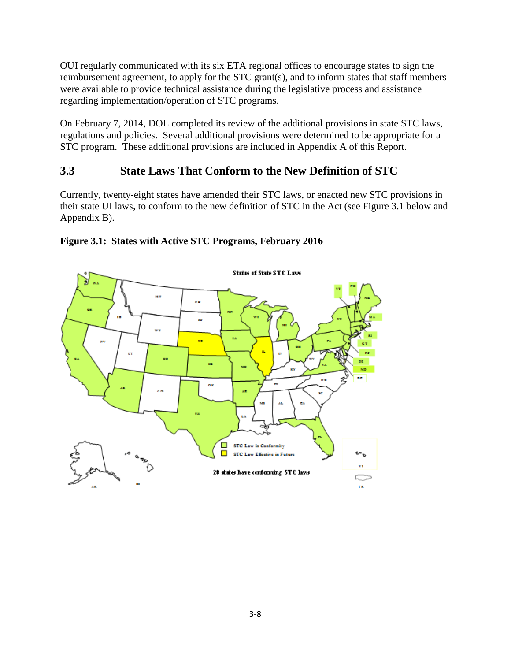OUI regularly communicated with its six ETA regional offices to encourage states to sign the reimbursement agreement, to apply for the STC grant(s), and to inform states that staff members were available to provide technical assistance during the legislative process and assistance regarding implementation/operation of STC programs.

On February 7, 2014, DOL completed its review of the additional provisions in state STC laws, regulations and policies. Several additional provisions were determined to be appropriate for a STC program. These additional provisions are included in Appendix A of this Report.

# **3.3 State Laws That Conform to the New Definition of STC**

Currently, twenty-eight states have amended their STC laws, or enacted new STC provisions in their state UI laws, to conform to the new definition of STC in the Act (see Figure 3.1 below and Appendix B).



#### **Figure 3.1: States with Active STC Programs, February 2016**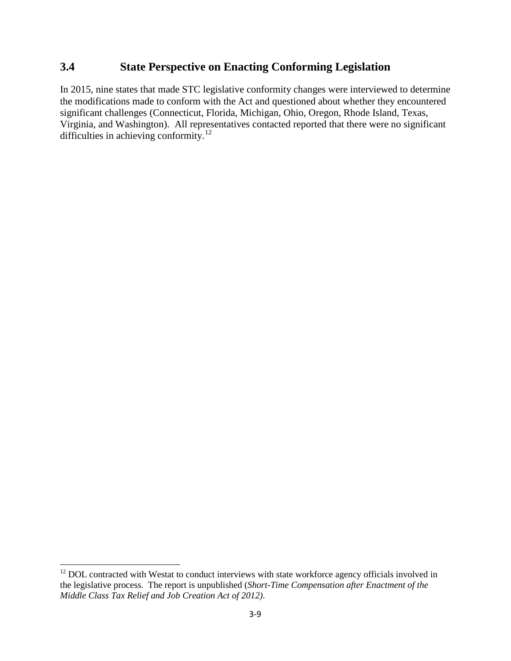### **3.4 State Perspective on Enacting Conforming Legislation**

In 2015, nine states that made STC legislative conformity changes were interviewed to determine the modifications made to conform with the Act and questioned about whether they encountered significant challenges (Connecticut, Florida, Michigan, Ohio, Oregon, Rhode Island, Texas, Virginia, and Washington). All representatives contacted reported that there were no significant difficulties in achieving conformity.<sup>[12](#page-25-0)</sup>

 $\overline{\phantom{a}}$ 

<span id="page-25-0"></span> $12$  DOL contracted with Westat to conduct interviews with state workforce agency officials involved in the legislative process. The report is unpublished (*Short-Time Compensation after Enactment of the Middle Class Tax Relief and Job Creation Act of 2012)*.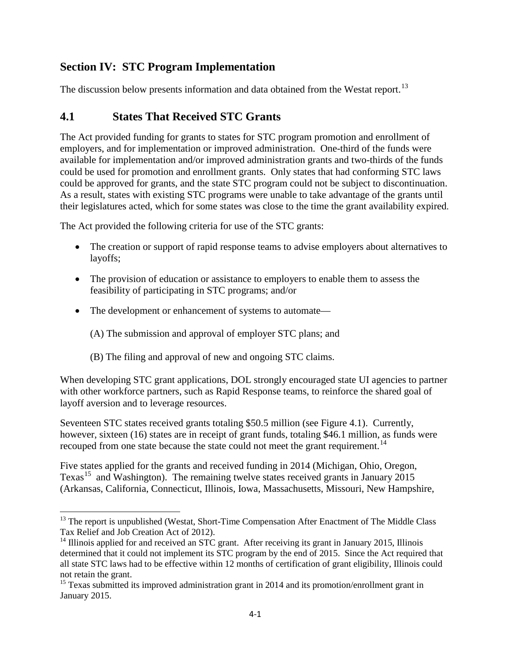# **Section IV: STC Program Implementation**

The discussion below presents information and data obtained from the Westat report.<sup>[13](#page-26-0)</sup>

# **4.1 States That Received STC Grants**

The Act provided funding for grants to states for STC program promotion and enrollment of employers, and for implementation or improved administration. One-third of the funds were available for implementation and/or improved administration grants and two-thirds of the funds could be used for promotion and enrollment grants. Only states that had conforming STC laws could be approved for grants, and the state STC program could not be subject to discontinuation. As a result, states with existing STC programs were unable to take advantage of the grants until their legislatures acted, which for some states was close to the time the grant availability expired.

The Act provided the following criteria for use of the STC grants:

- The creation or support of rapid response teams to advise employers about alternatives to layoffs;
- The provision of education or assistance to employers to enable them to assess the feasibility of participating in STC programs; and/or
- The development or enhancement of systems to automate—
	- (A) The submission and approval of employer STC plans; and
	- (B) The filing and approval of new and ongoing STC claims.

When developing STC grant applications, DOL strongly encouraged state UI agencies to partner with other workforce partners, such as Rapid Response teams, to reinforce the shared goal of layoff aversion and to leverage resources.

Seventeen STC states received grants totaling \$50.5 million (see Figure 4.1). Currently, however, sixteen (16) states are in receipt of grant funds, totaling \$46.1 million, as funds were recouped from one state because the state could not meet the grant requirement.<sup>[14](#page-26-1)</sup>

Five states applied for the grants and received funding in 2014 (Michigan, Ohio, Oregon, Texas<sup>[15](#page-26-2)</sup> and Washington). The remaining twelve states received grants in January 2015 (Arkansas, California, Connecticut, Illinois, Iowa, Massachusetts, Missouri, New Hampshire,

<span id="page-26-0"></span>l <sup>13</sup> The report is unpublished (Westat, Short-Time Compensation After Enactment of The Middle Class Tax Relief and Job Creation Act of 2012).

<span id="page-26-1"></span><sup>&</sup>lt;sup>14</sup> Illinois applied for and received an STC grant. After receiving its grant in January 2015, Illinois determined that it could not implement its STC program by the end of 2015. Since the Act required that all state STC laws had to be effective within 12 months of certification of grant eligibility, Illinois could not retain the grant.

<span id="page-26-2"></span> $15$  Texas submitted its improved administration grant in 2014 and its promotion/enrollment grant in January 2015.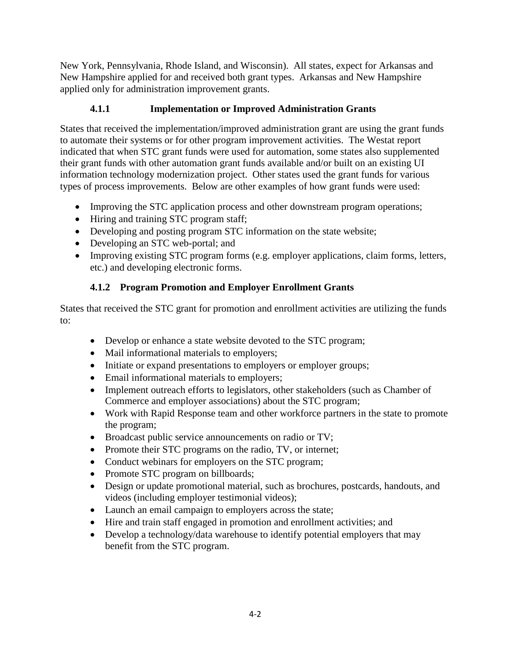New York, Pennsylvania, Rhode Island, and Wisconsin). All states, expect for Arkansas and New Hampshire applied for and received both grant types. Arkansas and New Hampshire applied only for administration improvement grants.

### **4.1.1 Implementation or Improved Administration Grants**

States that received the implementation/improved administration grant are using the grant funds to automate their systems or for other program improvement activities. The Westat report indicated that when STC grant funds were used for automation, some states also supplemented their grant funds with other automation grant funds available and/or built on an existing UI information technology modernization project. Other states used the grant funds for various types of process improvements. Below are other examples of how grant funds were used:

- Improving the STC application process and other downstream program operations;
- Hiring and training STC program staff;
- Developing and posting program STC information on the state website;
- Developing an STC web-portal; and
- Improving existing STC program forms (e.g. employer applications, claim forms, letters, etc.) and developing electronic forms.

### **4.1.2 Program Promotion and Employer Enrollment Grants**

States that received the STC grant for promotion and enrollment activities are utilizing the funds to:

- Develop or enhance a state website devoted to the STC program;
- Mail informational materials to employers;
- Initiate or expand presentations to employers or employer groups;
- Email informational materials to employers;
- Implement outreach efforts to legislators, other stakeholders (such as Chamber of Commerce and employer associations) about the STC program;
- Work with Rapid Response team and other workforce partners in the state to promote the program;
- Broadcast public service announcements on radio or TV;
- Promote their STC programs on the radio, TV, or internet;
- Conduct webinars for employers on the STC program;
- Promote STC program on billboards;
- Design or update promotional material, such as brochures, postcards, handouts, and videos (including employer testimonial videos);
- Launch an email campaign to employers across the state;
- Hire and train staff engaged in promotion and enrollment activities; and
- Develop a technology/data warehouse to identify potential employers that may benefit from the STC program.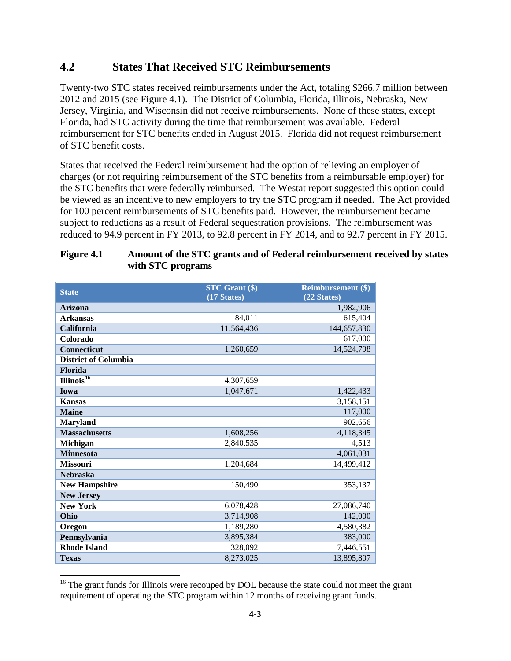### **4.2 States That Received STC Reimbursements**

Twenty-two STC states received reimbursements under the Act, totaling \$266.7 million between 2012 and 2015 (see Figure 4.1). The District of Columbia, Florida, Illinois, Nebraska, New Jersey, Virginia, and Wisconsin did not receive reimbursements. None of these states, except Florida, had STC activity during the time that reimbursement was available. Federal reimbursement for STC benefits ended in August 2015. Florida did not request reimbursement of STC benefit costs.

States that received the Federal reimbursement had the option of relieving an employer of charges (or not requiring reimbursement of the STC benefits from a reimbursable employer) for the STC benefits that were federally reimbursed. The Westat report suggested this option could be viewed as an incentive to new employers to try the STC program if needed. The Act provided for 100 percent reimbursements of STC benefits paid. However, the reimbursement became subject to reductions as a result of Federal sequestration provisions. The reimbursement was reduced to 94.9 percent in FY 2013, to 92.8 percent in FY 2014, and to 92.7 percent in FY 2015.

| <b>State</b>                     | <b>STC Grant (\$)</b><br>(17 States) | <b>Reimbursement (\$)</b><br>(22 States) |
|----------------------------------|--------------------------------------|------------------------------------------|
| <b>Arizona</b>                   |                                      | 1,982,906                                |
| <b>Arkansas</b>                  | 84,011                               | 615,404                                  |
| California                       | 11,564,436                           | 144,657,830                              |
| Colorado                         |                                      | 617,000                                  |
| <b>Connecticut</b>               | 1,260,659                            | 14,524,798                               |
| <b>District of Columbia</b>      |                                      |                                          |
| Florida                          |                                      |                                          |
| $\overline{\text{llinois}^{16}}$ | 4,307,659                            |                                          |
| Iowa                             | 1,047,671                            | 1,422,433                                |
| <b>Kansas</b>                    |                                      | 3,158,151                                |
| <b>Maine</b>                     |                                      | 117,000                                  |
| <b>Maryland</b>                  |                                      | 902,656                                  |
| <b>Massachusetts</b>             | 1,608,256                            | 4,118,345                                |
| <b>Michigan</b>                  | 2,840,535                            | 4,513                                    |
| <b>Minnesota</b>                 |                                      | 4,061,031                                |
| <b>Missouri</b>                  | 1,204,684                            | 14,499,412                               |
| <b>Nebraska</b>                  |                                      |                                          |
| <b>New Hampshire</b>             | 150,490                              | 353,137                                  |
| <b>New Jersey</b>                |                                      |                                          |
| <b>New York</b>                  | 6,078,428                            | 27,086,740                               |
| Ohio                             | 3,714,908                            | 142,000                                  |
| Oregon                           | 1,189,280                            | 4,580,382                                |
| Pennsylvania                     | 3,895,384                            | 383,000                                  |
| <b>Rhode Island</b>              | 328,092                              | 7,446,551                                |
| <b>Texas</b>                     | 8,273,025                            | 13,895,807                               |

#### **Figure 4.1 Amount of the STC grants and of Federal reimbursement received by states with STC programs**

l

<span id="page-28-0"></span> $16$ <sup>16</sup> The grant funds for Illinois were recouped by DOL because the state could not meet the grant requirement of operating the STC program within 12 months of receiving grant funds.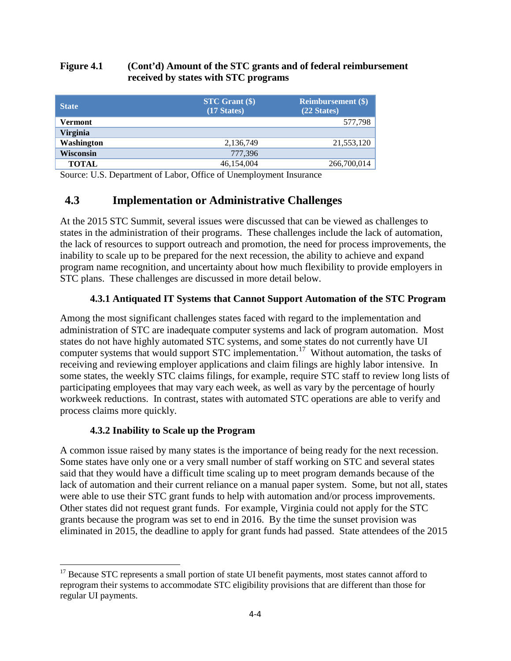#### **Figure 4.1 (Cont'd) Amount of the STC grants and of federal reimbursement received by states with STC programs**

| <b>State</b>     | $STC$ Grant $(\$)$<br>$(17 \text{ States})$ | <b>Reimbursement</b> (\$)<br>(22 States) |
|------------------|---------------------------------------------|------------------------------------------|
| <b>Vermont</b>   |                                             | 577,798                                  |
| Virginia         |                                             |                                          |
| Washington       | 2,136,749                                   | 21,553,120                               |
| <b>Wisconsin</b> | 777,396                                     |                                          |
| <b>TOTAL</b>     | 46,154,004                                  | 266,700,014                              |

Source: U.S. Department of Labor, Office of Unemployment Insurance

# **4.3 Implementation or Administrative Challenges**

At the 2015 STC Summit, several issues were discussed that can be viewed as challenges to states in the administration of their programs. These challenges include the lack of automation, the lack of resources to support outreach and promotion, the need for process improvements, the inability to scale up to be prepared for the next recession, the ability to achieve and expand program name recognition, and uncertainty about how much flexibility to provide employers in STC plans. These challenges are discussed in more detail below.

#### **4.3.1 Antiquated IT Systems that Cannot Support Automation of the STC Program**

Among the most significant challenges states faced with regard to the implementation and administration of STC are inadequate computer systems and lack of program automation. Most states do not have highly automated STC systems, and some states do not currently have UI computer systems that would support STC implementation.<sup>[17](#page-29-0)</sup> Without automation, the tasks of receiving and reviewing employer applications and claim filings are highly labor intensive. In some states, the weekly STC claims filings, for example, require STC staff to review long lists of participating employees that may vary each week, as well as vary by the percentage of hourly workweek reductions. In contrast, states with automated STC operations are able to verify and process claims more quickly.

#### **4.3.2 Inability to Scale up the Program**

 $\overline{\phantom{a}}$ 

A common issue raised by many states is the importance of being ready for the next recession. Some states have only one or a very small number of staff working on STC and several states said that they would have a difficult time scaling up to meet program demands because of the lack of automation and their current reliance on a manual paper system. Some, but not all, states were able to use their STC grant funds to help with automation and/or process improvements. Other states did not request grant funds. For example, Virginia could not apply for the STC grants because the program was set to end in 2016. By the time the sunset provision was eliminated in 2015, the deadline to apply for grant funds had passed. State attendees of the 2015

<span id="page-29-0"></span><sup>&</sup>lt;sup>17</sup> Because STC represents a small portion of state UI benefit payments, most states cannot afford to reprogram their systems to accommodate STC eligibility provisions that are different than those for regular UI payments.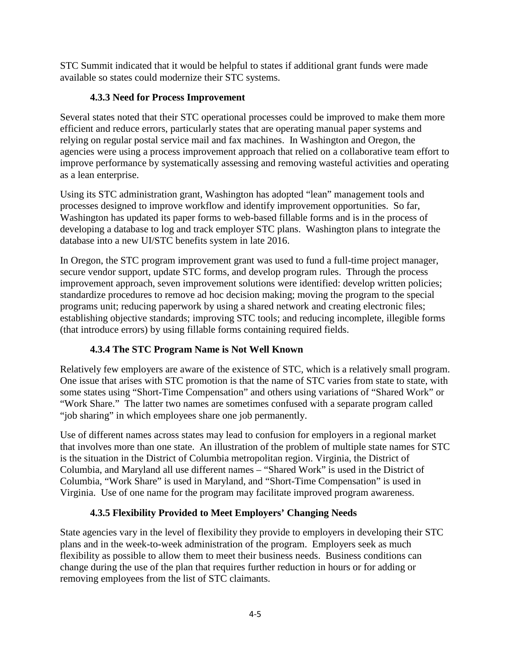STC Summit indicated that it would be helpful to states if additional grant funds were made available so states could modernize their STC systems.

### **4.3.3 Need for Process Improvement**

Several states noted that their STC operational processes could be improved to make them more efficient and reduce errors, particularly states that are operating manual paper systems and relying on regular postal service mail and fax machines. In Washington and Oregon, the agencies were using a process improvement approach that relied on a collaborative team effort to improve performance by systematically assessing and removing wasteful activities and operating as a lean enterprise.

Using its STC administration grant, Washington has adopted "lean" management tools and processes designed to improve workflow and identify improvement opportunities. So far, Washington has updated its paper forms to web-based fillable forms and is in the process of developing a database to log and track employer STC plans. Washington plans to integrate the database into a new UI/STC benefits system in late 2016.

In Oregon, the STC program improvement grant was used to fund a full-time project manager, secure vendor support, update STC forms, and develop program rules. Through the process improvement approach, seven improvement solutions were identified: develop written policies; standardize procedures to remove ad hoc decision making; moving the program to the special programs unit; reducing paperwork by using a shared network and creating electronic files; establishing objective standards; improving STC tools; and reducing incomplete, illegible forms (that introduce errors) by using fillable forms containing required fields.

### **4.3.4 The STC Program Name is Not Well Known**

Relatively few employers are aware of the existence of STC, which is a relatively small program. One issue that arises with STC promotion is that the name of STC varies from state to state, with some states using "Short-Time Compensation" and others using variations of "Shared Work" or "Work Share." The latter two names are sometimes confused with a separate program called "job sharing" in which employees share one job permanently.

Use of different names across states may lead to confusion for employers in a regional market that involves more than one state. An illustration of the problem of multiple state names for STC is the situation in the District of Columbia metropolitan region. Virginia, the District of Columbia, and Maryland all use different names – "Shared Work" is used in the District of Columbia, "Work Share" is used in Maryland, and "Short-Time Compensation" is used in Virginia. Use of one name for the program may facilitate improved program awareness.

### **4.3.5 Flexibility Provided to Meet Employers' Changing Needs**

State agencies vary in the level of flexibility they provide to employers in developing their STC plans and in the week-to-week administration of the program. Employers seek as much flexibility as possible to allow them to meet their business needs. Business conditions can change during the use of the plan that requires further reduction in hours or for adding or removing employees from the list of STC claimants.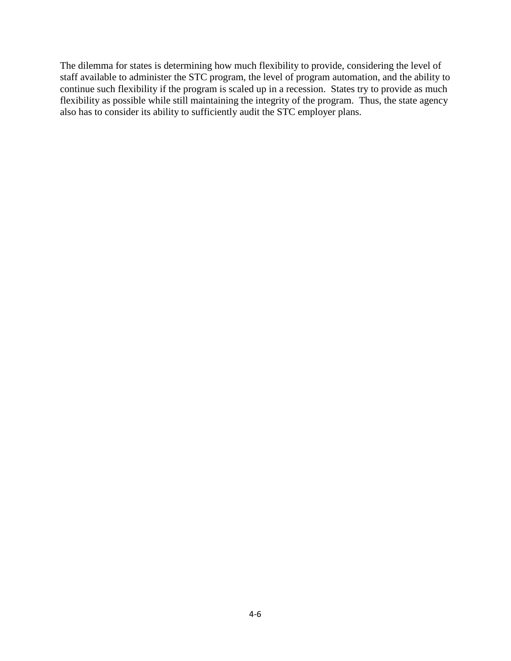The dilemma for states is determining how much flexibility to provide, considering the level of staff available to administer the STC program, the level of program automation, and the ability to continue such flexibility if the program is scaled up in a recession. States try to provide as much flexibility as possible while still maintaining the integrity of the program. Thus, the state agency also has to consider its ability to sufficiently audit the STC employer plans.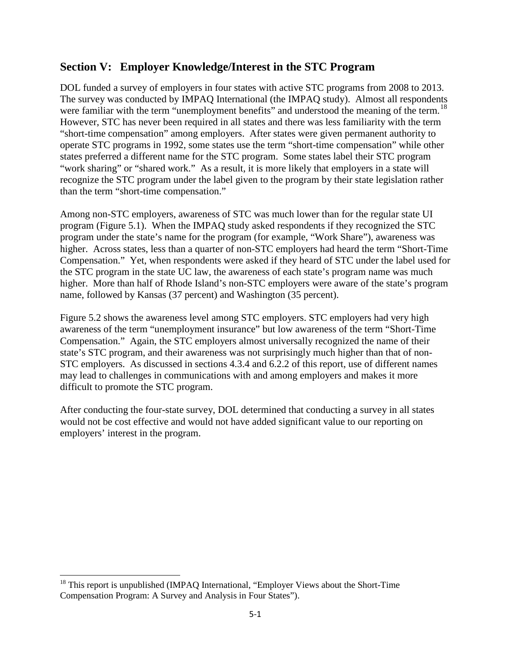### **Section V: Employer Knowledge/Interest in the STC Program**

DOL funded a survey of employers in four states with active STC programs from 2008 to 2013. The survey was conducted by IMPAQ International (the IMPAQ study). Almost all respondents were familiar with the term "unemployment benefits" and understood the meaning of the term.<sup>18</sup> However, STC has never been required in all states and there was less familiarity with the term "short-time compensation" among employers. After states were given permanent authority to operate STC programs in 1992, some states use the term "short-time compensation" while other states preferred a different name for the STC program. Some states label their STC program "work sharing" or "shared work." As a result, it is more likely that employers in a state will recognize the STC program under the label given to the program by their state legislation rather than the term "short-time compensation."

Among non-STC employers, awareness of STC was much lower than for the regular state UI program (Figure 5.1). When the IMPAQ study asked respondents if they recognized the STC program under the state's name for the program (for example, "Work Share"), awareness was higher. Across states, less than a quarter of non-STC employers had heard the term "Short-Time Compensation." Yet, when respondents were asked if they heard of STC under the label used for the STC program in the state UC law, the awareness of each state's program name was much higher. More than half of Rhode Island's non-STC employers were aware of the state's program name, followed by Kansas (37 percent) and Washington (35 percent).

Figure 5.2 shows the awareness level among STC employers. STC employers had very high awareness of the term "unemployment insurance" but low awareness of the term "Short-Time Compensation." Again, the STC employers almost universally recognized the name of their state's STC program, and their awareness was not surprisingly much higher than that of non-STC employers. As discussed in sections 4.3.4 and 6.2.2 of this report, use of different names may lead to challenges in communications with and among employers and makes it more difficult to promote the STC program.

After conducting the four-state survey, DOL determined that conducting a survey in all states would not be cost effective and would not have added significant value to our reporting on employers' interest in the program.

l

<span id="page-32-0"></span><sup>&</sup>lt;sup>18</sup> This report is unpublished (IMPAQ International, "Employer Views about the Short-Time Compensation Program: A Survey and Analysis in Four States").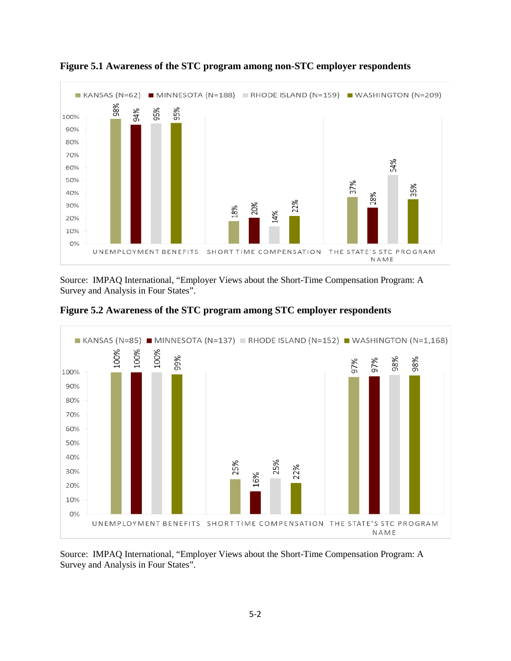

**Figure 5.1 Awareness of the STC program among non-STC employer respondents**

Source: IMPAQ International, "Employer Views about the Short-Time Compensation Program: A Survey and Analysis in Four States".



**Figure 5.2 Awareness of the STC program among STC employer respondents**

Source: IMPAQ International, "Employer Views about the Short-Time Compensation Program: A Survey and Analysis in Four States".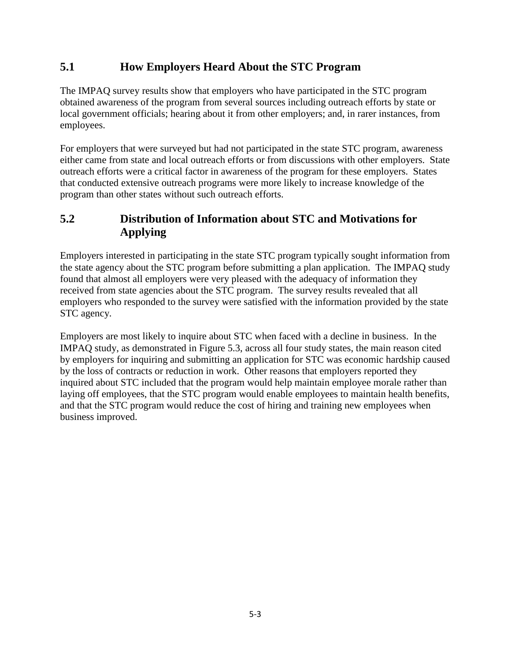# **5.1 How Employers Heard About the STC Program**

The IMPAQ survey results show that employers who have participated in the STC program obtained awareness of the program from several sources including outreach efforts by state or local government officials; hearing about it from other employers; and, in rarer instances, from employees.

For employers that were surveyed but had not participated in the state STC program, awareness either came from state and local outreach efforts or from discussions with other employers. State outreach efforts were a critical factor in awareness of the program for these employers. States that conducted extensive outreach programs were more likely to increase knowledge of the program than other states without such outreach efforts.

# **5.2 Distribution of Information about STC and Motivations for Applying**

Employers interested in participating in the state STC program typically sought information from the state agency about the STC program before submitting a plan application. The IMPAQ study found that almost all employers were very pleased with the adequacy of information they received from state agencies about the STC program. The survey results revealed that all employers who responded to the survey were satisfied with the information provided by the state STC agency.

Employers are most likely to inquire about STC when faced with a decline in business. In the IMPAQ study, as demonstrated in Figure 5.3, across all four study states, the main reason cited by employers for inquiring and submitting an application for STC was economic hardship caused by the loss of contracts or reduction in work. Other reasons that employers reported they inquired about STC included that the program would help maintain employee morale rather than laying off employees, that the STC program would enable employees to maintain health benefits, and that the STC program would reduce the cost of hiring and training new employees when business improved.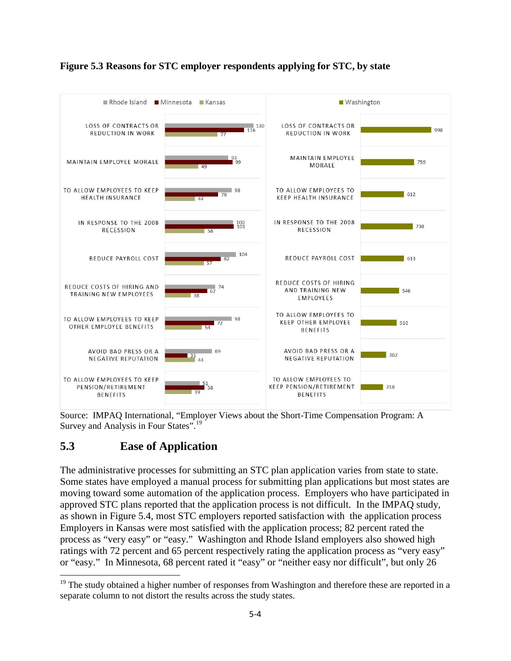

### **Figure 5.3 Reasons for STC employer respondents applying for STC, by state**

Source: IMPAQ International, "Employer Views about the Short-Time Compensation Program: A Survey and Analysis in Four States".<sup>[19](#page-35-0)</sup>

# **5.3 Ease of Application**

l

The administrative processes for submitting an STC plan application varies from state to state. Some states have employed a manual process for submitting plan applications but most states are moving toward some automation of the application process. Employers who have participated in approved STC plans reported that the application process is not difficult. In the IMPAQ study, as shown in Figure 5.4, most STC employers reported satisfaction with the application process Employers in Kansas were most satisfied with the application process; 82 percent rated the process as "very easy" or "easy." Washington and Rhode Island employers also showed high ratings with 72 percent and 65 percent respectively rating the application process as "very easy" or "easy." In Minnesota, 68 percent rated it "easy" or "neither easy nor difficult", but only 26

<span id="page-35-0"></span><sup>&</sup>lt;sup>19</sup> The study obtained a higher number of responses from Washington and therefore these are reported in a separate column to not distort the results across the study states.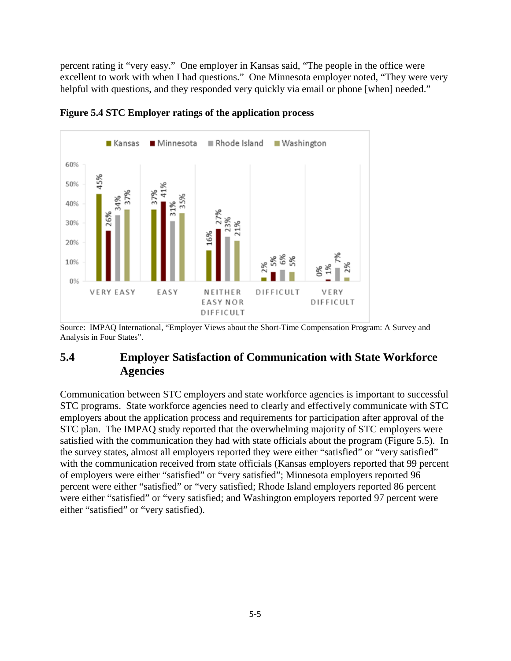percent rating it "very easy." One employer in Kansas said, "The people in the office were excellent to work with when I had questions." One Minnesota employer noted, "They were very helpful with questions, and they responded very quickly via email or phone [when] needed."



**Figure 5.4 STC Employer ratings of the application process** 

Source: IMPAQ International, "Employer Views about the Short-Time Compensation Program: A Survey and Analysis in Four States".

### **5.4 Employer Satisfaction of Communication with State Workforce Agencies**

Communication between STC employers and state workforce agencies is important to successful STC programs. State workforce agencies need to clearly and effectively communicate with STC employers about the application process and requirements for participation after approval of the STC plan. The IMPAQ study reported that the overwhelming majority of STC employers were satisfied with the communication they had with state officials about the program (Figure 5.5). In the survey states, almost all employers reported they were either "satisfied" or "very satisfied" with the communication received from state officials (Kansas employers reported that 99 percent of employers were either "satisfied" or "very satisfied"; Minnesota employers reported 96 percent were either "satisfied" or "very satisfied; Rhode Island employers reported 86 percent were either "satisfied" or "very satisfied; and Washington employers reported 97 percent were either "satisfied" or "very satisfied).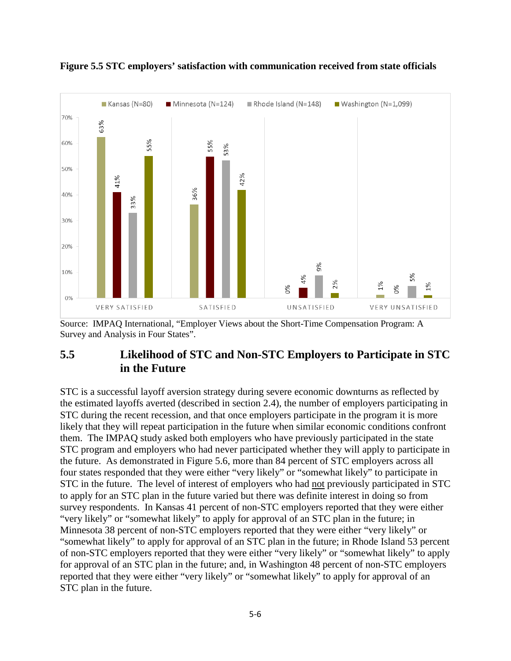

**Figure 5.5 STC employers' satisfaction with communication received from state officials** 

Source: IMPAQ International, "Employer Views about the Short-Time Compensation Program: A Survey and Analysis in Four States".

### **5.5 Likelihood of STC and Non-STC Employers to Participate in STC in the Future**

STC is a successful layoff aversion strategy during severe economic downturns as reflected by the estimated layoffs averted (described in section 2.4), the number of employers participating in STC during the recent recession, and that once employers participate in the program it is more likely that they will repeat participation in the future when similar economic conditions confront them. The IMPAQ study asked both employers who have previously participated in the state STC program and employers who had never participated whether they will apply to participate in the future. As demonstrated in Figure 5.6, more than 84 percent of STC employers across all four states responded that they were either "very likely" or "somewhat likely" to participate in STC in the future. The level of interest of employers who had not previously participated in STC to apply for an STC plan in the future varied but there was definite interest in doing so from survey respondents. In Kansas 41 percent of non-STC employers reported that they were either "very likely" or "somewhat likely" to apply for approval of an STC plan in the future; in Minnesota 38 percent of non-STC employers reported that they were either "very likely" or "somewhat likely" to apply for approval of an STC plan in the future; in Rhode Island 53 percent of non-STC employers reported that they were either "very likely" or "somewhat likely" to apply for approval of an STC plan in the future; and, in Washington 48 percent of non-STC employers reported that they were either "very likely" or "somewhat likely" to apply for approval of an STC plan in the future.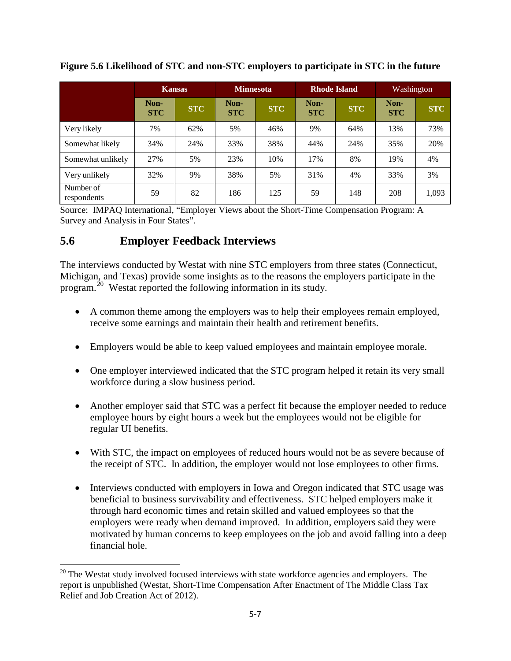|                          | <b>Kansas</b>      |            | <b>Minnesota</b>   |            | <b>Rhode Island</b> |            | Washington         |            |
|--------------------------|--------------------|------------|--------------------|------------|---------------------|------------|--------------------|------------|
|                          | Non-<br><b>STC</b> | <b>STC</b> | Non-<br><b>STC</b> | <b>STC</b> | Non-<br><b>STC</b>  | <b>STC</b> | Non-<br><b>STC</b> | <b>STC</b> |
| Very likely              | 7%                 | 62%        | 5%                 | 46%        | 9%                  | 64%        | 13%                | 73%        |
| Somewhat likely          | 34%                | 24%        | 33%                | 38%        | 44%                 | 24%        | 35%                | 20%        |
| Somewhat unlikely        | 27%                | 5%         | 23%                | 10%        | 17%                 | 8%         | 19%                | 4%         |
| Very unlikely            | 32%                | 9%         | 38%                | 5%         | 31%                 | 4%         | 33%                | 3%         |
| Number of<br>respondents | 59                 | 82         | 186                | 125        | 59                  | 148        | 208                | 1,093      |

**Figure 5.6 Likelihood of STC and non-STC employers to participate in STC in the future**

Source: IMPAQ International, "Employer Views about the Short-Time Compensation Program: A Survey and Analysis in Four States".

### **5.6 Employer Feedback Interviews**

 $\overline{\phantom{a}}$ 

The interviews conducted by Westat with nine STC employers from three states (Connecticut, Michigan, and Texas) provide some insights as to the reasons the employers participate in the program.[20](#page-38-0) Westat reported the following information in its study.

- A common theme among the employers was to help their employees remain employed, receive some earnings and maintain their health and retirement benefits.
- Employers would be able to keep valued employees and maintain employee morale.
- One employer interviewed indicated that the STC program helped it retain its very small workforce during a slow business period.
- Another employer said that STC was a perfect fit because the employer needed to reduce employee hours by eight hours a week but the employees would not be eligible for regular UI benefits.
- With STC, the impact on employees of reduced hours would not be as severe because of the receipt of STC. In addition, the employer would not lose employees to other firms.
- Interviews conducted with employers in Iowa and Oregon indicated that STC usage was beneficial to business survivability and effectiveness. STC helped employers make it through hard economic times and retain skilled and valued employees so that the employers were ready when demand improved. In addition, employers said they were motivated by human concerns to keep employees on the job and avoid falling into a deep financial hole.

<span id="page-38-0"></span> $20$  The Westat study involved focused interviews with state workforce agencies and employers. The report is unpublished (Westat, Short-Time Compensation After Enactment of The Middle Class Tax Relief and Job Creation Act of 2012).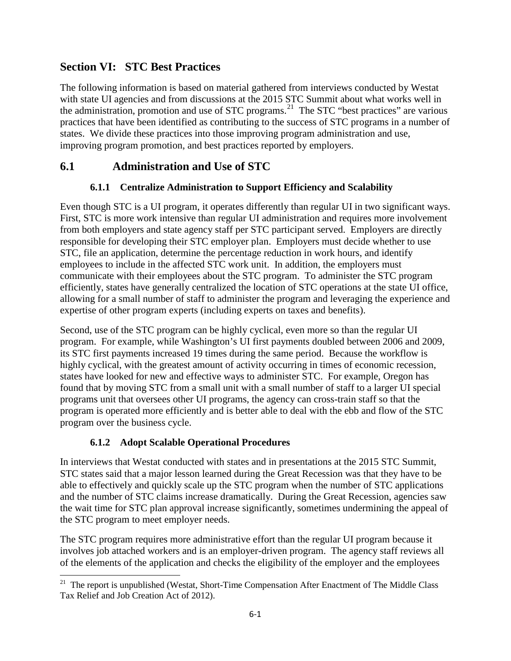# **Section VI: STC Best Practices**

The following information is based on material gathered from interviews conducted by Westat with state UI agencies and from discussions at the 2015 STC Summit about what works well in the administration, promotion and use of STC programs.<sup>[21](#page-39-0)</sup> The STC "best practices" are various practices that have been identified as contributing to the success of STC programs in a number of states. We divide these practices into those improving program administration and use, improving program promotion, and best practices reported by employers.

# **6.1 Administration and Use of STC**

### **6.1.1 Centralize Administration to Support Efficiency and Scalability**

Even though STC is a UI program, it operates differently than regular UI in two significant ways. First, STC is more work intensive than regular UI administration and requires more involvement from both employers and state agency staff per STC participant served. Employers are directly responsible for developing their STC employer plan. Employers must decide whether to use STC, file an application, determine the percentage reduction in work hours, and identify employees to include in the affected STC work unit. In addition, the employers must communicate with their employees about the STC program. To administer the STC program efficiently, states have generally centralized the location of STC operations at the state UI office, allowing for a small number of staff to administer the program and leveraging the experience and expertise of other program experts (including experts on taxes and benefits).

Second, use of the STC program can be highly cyclical, even more so than the regular UI program. For example, while Washington's UI first payments doubled between 2006 and 2009, its STC first payments increased 19 times during the same period. Because the workflow is highly cyclical, with the greatest amount of activity occurring in times of economic recession, states have looked for new and effective ways to administer STC. For example, Oregon has found that by moving STC from a small unit with a small number of staff to a larger UI special programs unit that oversees other UI programs, the agency can cross-train staff so that the program is operated more efficiently and is better able to deal with the ebb and flow of the STC program over the business cycle.

### **6.1.2 Adopt Scalable Operational Procedures**

l

In interviews that Westat conducted with states and in presentations at the 2015 STC Summit, STC states said that a major lesson learned during the Great Recession was that they have to be able to effectively and quickly scale up the STC program when the number of STC applications and the number of STC claims increase dramatically. During the Great Recession, agencies saw the wait time for STC plan approval increase significantly, sometimes undermining the appeal of the STC program to meet employer needs.

The STC program requires more administrative effort than the regular UI program because it involves job attached workers and is an employer-driven program. The agency staff reviews all of the elements of the application and checks the eligibility of the employer and the employees

<span id="page-39-0"></span><sup>&</sup>lt;sup>21</sup> The report is unpublished (Westat, Short-Time Compensation After Enactment of The Middle Class Tax Relief and Job Creation Act of 2012).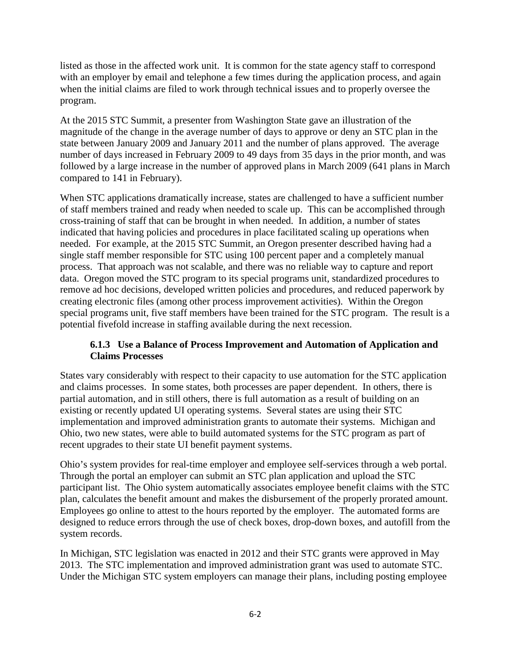listed as those in the affected work unit. It is common for the state agency staff to correspond with an employer by email and telephone a few times during the application process, and again when the initial claims are filed to work through technical issues and to properly oversee the program.

At the 2015 STC Summit, a presenter from Washington State gave an illustration of the magnitude of the change in the average number of days to approve or deny an STC plan in the state between January 2009 and January 2011 and the number of plans approved. The average number of days increased in February 2009 to 49 days from 35 days in the prior month, and was followed by a large increase in the number of approved plans in March 2009 (641 plans in March compared to 141 in February).

When STC applications dramatically increase, states are challenged to have a sufficient number of staff members trained and ready when needed to scale up. This can be accomplished through cross-training of staff that can be brought in when needed. In addition, a number of states indicated that having policies and procedures in place facilitated scaling up operations when needed. For example, at the 2015 STC Summit, an Oregon presenter described having had a single staff member responsible for STC using 100 percent paper and a completely manual process. That approach was not scalable, and there was no reliable way to capture and report data. Oregon moved the STC program to its special programs unit, standardized procedures to remove ad hoc decisions, developed written policies and procedures, and reduced paperwork by creating electronic files (among other process improvement activities). Within the Oregon special programs unit, five staff members have been trained for the STC program. The result is a potential fivefold increase in staffing available during the next recession.

#### **6.1.3 Use a Balance of Process Improvement and Automation of Application and Claims Processes**

States vary considerably with respect to their capacity to use automation for the STC application and claims processes. In some states, both processes are paper dependent. In others, there is partial automation, and in still others, there is full automation as a result of building on an existing or recently updated UI operating systems. Several states are using their STC implementation and improved administration grants to automate their systems. Michigan and Ohio, two new states, were able to build automated systems for the STC program as part of recent upgrades to their state UI benefit payment systems.

Ohio's system provides for real-time employer and employee self-services through a web portal. Through the portal an employer can submit an STC plan application and upload the STC participant list. The Ohio system automatically associates employee benefit claims with the STC plan, calculates the benefit amount and makes the disbursement of the properly prorated amount. Employees go online to attest to the hours reported by the employer. The automated forms are designed to reduce errors through the use of check boxes, drop-down boxes, and autofill from the system records.

In Michigan, STC legislation was enacted in 2012 and their STC grants were approved in May 2013. The STC implementation and improved administration grant was used to automate STC. Under the Michigan STC system employers can manage their plans, including posting employee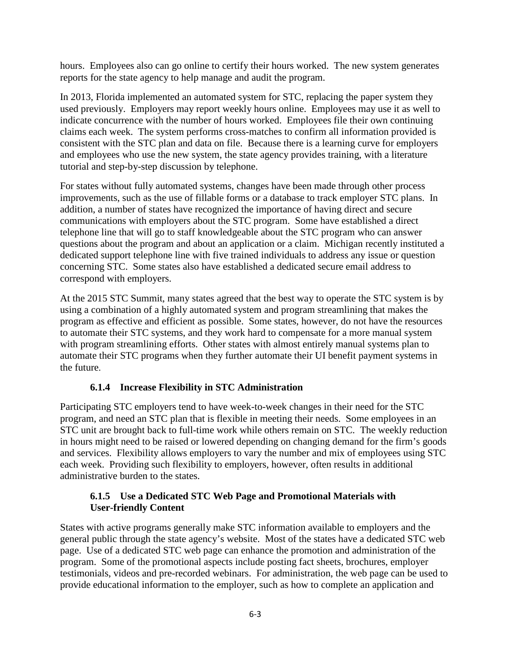hours. Employees also can go online to certify their hours worked. The new system generates reports for the state agency to help manage and audit the program.

In 2013, Florida implemented an automated system for STC, replacing the paper system they used previously. Employers may report weekly hours online. Employees may use it as well to indicate concurrence with the number of hours worked. Employees file their own continuing claims each week. The system performs cross-matches to confirm all information provided is consistent with the STC plan and data on file. Because there is a learning curve for employers and employees who use the new system, the state agency provides training, with a literature tutorial and step-by-step discussion by telephone.

For states without fully automated systems, changes have been made through other process improvements, such as the use of fillable forms or a database to track employer STC plans. In addition, a number of states have recognized the importance of having direct and secure communications with employers about the STC program. Some have established a direct telephone line that will go to staff knowledgeable about the STC program who can answer questions about the program and about an application or a claim. Michigan recently instituted a dedicated support telephone line with five trained individuals to address any issue or question concerning STC. Some states also have established a dedicated secure email address to correspond with employers.

At the 2015 STC Summit, many states agreed that the best way to operate the STC system is by using a combination of a highly automated system and program streamlining that makes the program as effective and efficient as possible. Some states, however, do not have the resources to automate their STC systems, and they work hard to compensate for a more manual system with program streamlining efforts. Other states with almost entirely manual systems plan to automate their STC programs when they further automate their UI benefit payment systems in the future.

#### **6.1.4 Increase Flexibility in STC Administration**

Participating STC employers tend to have week-to-week changes in their need for the STC program, and need an STC plan that is flexible in meeting their needs. Some employees in an STC unit are brought back to full-time work while others remain on STC. The weekly reduction in hours might need to be raised or lowered depending on changing demand for the firm's goods and services. Flexibility allows employers to vary the number and mix of employees using STC each week. Providing such flexibility to employers, however, often results in additional administrative burden to the states.

#### **6.1.5 Use a Dedicated STC Web Page and Promotional Materials with User-friendly Content**

States with active programs generally make STC information available to employers and the general public through the state agency's website. Most of the states have a dedicated STC web page. Use of a dedicated STC web page can enhance the promotion and administration of the program. Some of the promotional aspects include posting fact sheets, brochures, employer testimonials, videos and pre-recorded webinars. For administration, the web page can be used to provide educational information to the employer, such as how to complete an application and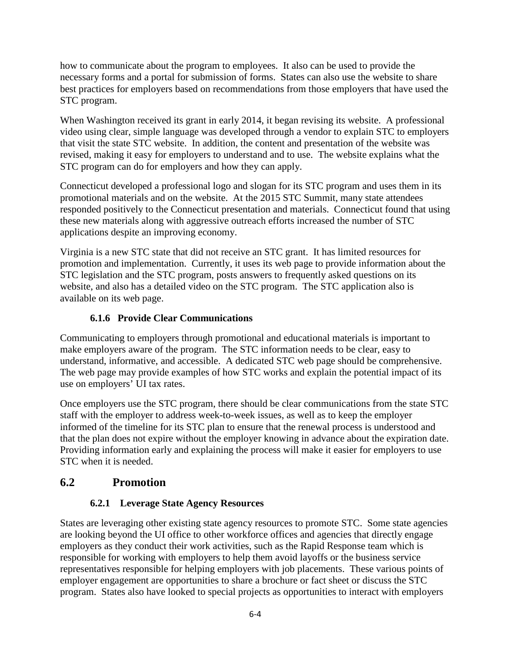how to communicate about the program to employees. It also can be used to provide the necessary forms and a portal for submission of forms. States can also use the website to share best practices for employers based on recommendations from those employers that have used the STC program.

When Washington received its grant in early 2014, it began revising its website. A professional video using clear, simple language was developed through a vendor to explain STC to employers that visit the state STC website. In addition, the content and presentation of the website was revised, making it easy for employers to understand and to use. The website explains what the STC program can do for employers and how they can apply.

Connecticut developed a professional logo and slogan for its STC program and uses them in its promotional materials and on the website. At the 2015 STC Summit, many state attendees responded positively to the Connecticut presentation and materials. Connecticut found that using these new materials along with aggressive outreach efforts increased the number of STC applications despite an improving economy.

Virginia is a new STC state that did not receive an STC grant. It has limited resources for promotion and implementation. Currently, it uses its web page to provide information about the STC legislation and the STC program, posts answers to frequently asked questions on its website, and also has a detailed video on the STC program. The STC application also is available on its web page.

#### **6.1.6 Provide Clear Communications**

Communicating to employers through promotional and educational materials is important to make employers aware of the program. The STC information needs to be clear, easy to understand, informative, and accessible. A dedicated STC web page should be comprehensive. The web page may provide examples of how STC works and explain the potential impact of its use on employers' UI tax rates.

Once employers use the STC program, there should be clear communications from the state STC staff with the employer to address week-to-week issues, as well as to keep the employer informed of the timeline for its STC plan to ensure that the renewal process is understood and that the plan does not expire without the employer knowing in advance about the expiration date. Providing information early and explaining the process will make it easier for employers to use STC when it is needed.

### **6.2 Promotion**

### **6.2.1 Leverage State Agency Resources**

States are leveraging other existing state agency resources to promote STC. Some state agencies are looking beyond the UI office to other workforce offices and agencies that directly engage employers as they conduct their work activities, such as the Rapid Response team which is responsible for working with employers to help them avoid layoffs or the business service representatives responsible for helping employers with job placements. These various points of employer engagement are opportunities to share a brochure or fact sheet or discuss the STC program. States also have looked to special projects as opportunities to interact with employers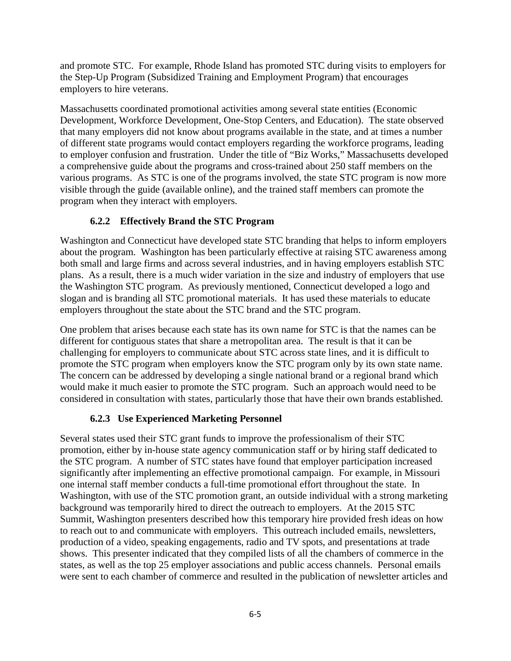and promote STC. For example, Rhode Island has promoted STC during visits to employers for the Step-Up Program (Subsidized Training and Employment Program) that encourages employers to hire veterans.

Massachusetts coordinated promotional activities among several state entities (Economic Development, Workforce Development, One-Stop Centers, and Education). The state observed that many employers did not know about programs available in the state, and at times a number of different state programs would contact employers regarding the workforce programs, leading to employer confusion and frustration. Under the title of "Biz Works," Massachusetts developed a comprehensive guide about the programs and cross-trained about 250 staff members on the various programs. As STC is one of the programs involved, the state STC program is now more visible through the guide (available online), and the trained staff members can promote the program when they interact with employers.

#### **6.2.2 Effectively Brand the STC Program**

Washington and Connecticut have developed state STC branding that helps to inform employers about the program. Washington has been particularly effective at raising STC awareness among both small and large firms and across several industries, and in having employers establish STC plans. As a result, there is a much wider variation in the size and industry of employers that use the Washington STC program. As previously mentioned, Connecticut developed a logo and slogan and is branding all STC promotional materials. It has used these materials to educate employers throughout the state about the STC brand and the STC program.

One problem that arises because each state has its own name for STC is that the names can be different for contiguous states that share a metropolitan area. The result is that it can be challenging for employers to communicate about STC across state lines, and it is difficult to promote the STC program when employers know the STC program only by its own state name. The concern can be addressed by developing a single national brand or a regional brand which would make it much easier to promote the STC program. Such an approach would need to be considered in consultation with states, particularly those that have their own brands established.

### **6.2.3 Use Experienced Marketing Personnel**

Several states used their STC grant funds to improve the professionalism of their STC promotion, either by in-house state agency communication staff or by hiring staff dedicated to the STC program. A number of STC states have found that employer participation increased significantly after implementing an effective promotional campaign. For example, in Missouri one internal staff member conducts a full-time promotional effort throughout the state. In Washington, with use of the STC promotion grant, an outside individual with a strong marketing background was temporarily hired to direct the outreach to employers. At the 2015 STC Summit, Washington presenters described how this temporary hire provided fresh ideas on how to reach out to and communicate with employers. This outreach included emails, newsletters, production of a video, speaking engagements, radio and TV spots, and presentations at trade shows. This presenter indicated that they compiled lists of all the chambers of commerce in the states, as well as the top 25 employer associations and public access channels. Personal emails were sent to each chamber of commerce and resulted in the publication of newsletter articles and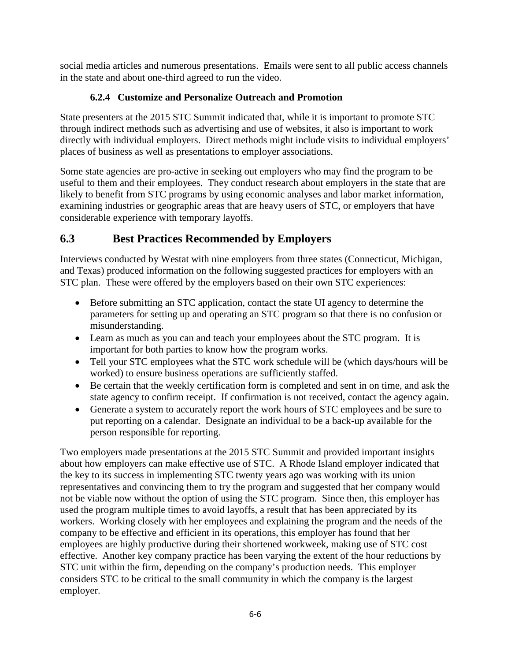social media articles and numerous presentations. Emails were sent to all public access channels in the state and about one-third agreed to run the video.

### **6.2.4 Customize and Personalize Outreach and Promotion**

State presenters at the 2015 STC Summit indicated that, while it is important to promote STC through indirect methods such as advertising and use of websites, it also is important to work directly with individual employers. Direct methods might include visits to individual employers' places of business as well as presentations to employer associations.

Some state agencies are pro-active in seeking out employers who may find the program to be useful to them and their employees. They conduct research about employers in the state that are likely to benefit from STC programs by using economic analyses and labor market information, examining industries or geographic areas that are heavy users of STC, or employers that have considerable experience with temporary layoffs.

# **6.3 Best Practices Recommended by Employers**

Interviews conducted by Westat with nine employers from three states (Connecticut, Michigan, and Texas) produced information on the following suggested practices for employers with an STC plan. These were offered by the employers based on their own STC experiences:

- Before submitting an STC application, contact the state UI agency to determine the parameters for setting up and operating an STC program so that there is no confusion or misunderstanding.
- Learn as much as you can and teach your employees about the STC program. It is important for both parties to know how the program works.
- Tell your STC employees what the STC work schedule will be (which days/hours will be worked) to ensure business operations are sufficiently staffed.
- Be certain that the weekly certification form is completed and sent in on time, and ask the state agency to confirm receipt. If confirmation is not received, contact the agency again.
- Generate a system to accurately report the work hours of STC employees and be sure to put reporting on a calendar. Designate an individual to be a back-up available for the person responsible for reporting.

Two employers made presentations at the 2015 STC Summit and provided important insights about how employers can make effective use of STC. A Rhode Island employer indicated that the key to its success in implementing STC twenty years ago was working with its union representatives and convincing them to try the program and suggested that her company would not be viable now without the option of using the STC program. Since then, this employer has used the program multiple times to avoid layoffs, a result that has been appreciated by its workers. Working closely with her employees and explaining the program and the needs of the company to be effective and efficient in its operations, this employer has found that her employees are highly productive during their shortened workweek, making use of STC cost effective. Another key company practice has been varying the extent of the hour reductions by STC unit within the firm, depending on the company's production needs. This employer considers STC to be critical to the small community in which the company is the largest employer.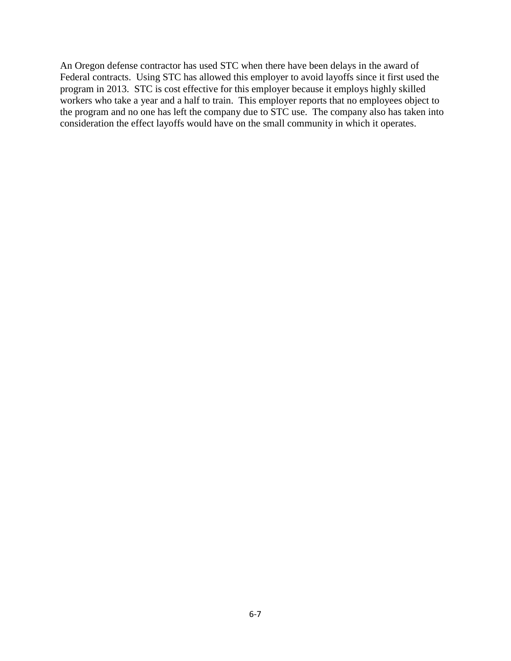An Oregon defense contractor has used STC when there have been delays in the award of Federal contracts. Using STC has allowed this employer to avoid layoffs since it first used the program in 2013. STC is cost effective for this employer because it employs highly skilled workers who take a year and a half to train. This employer reports that no employees object to the program and no one has left the company due to STC use. The company also has taken into consideration the effect layoffs would have on the small community in which it operates.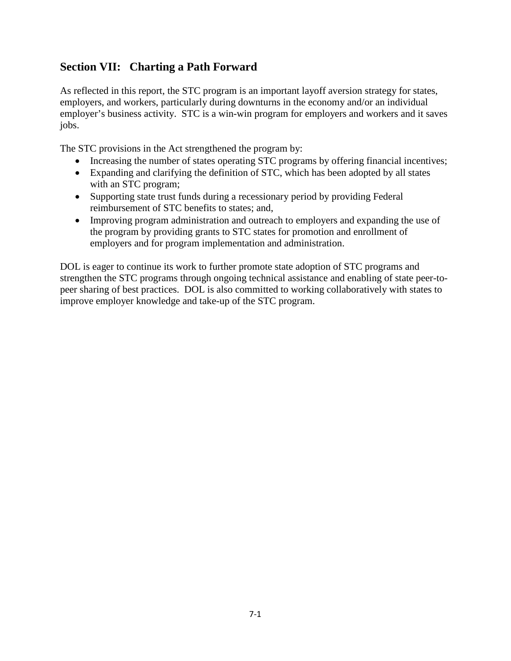# **Section VII: Charting a Path Forward**

As reflected in this report, the STC program is an important layoff aversion strategy for states, employers, and workers, particularly during downturns in the economy and/or an individual employer's business activity. STC is a win-win program for employers and workers and it saves jobs.

The STC provisions in the Act strengthened the program by:

- Increasing the number of states operating STC programs by offering financial incentives;
- Expanding and clarifying the definition of STC, which has been adopted by all states with an STC program;
- Supporting state trust funds during a recessionary period by providing Federal reimbursement of STC benefits to states; and,
- Improving program administration and outreach to employers and expanding the use of the program by providing grants to STC states for promotion and enrollment of employers and for program implementation and administration.

DOL is eager to continue its work to further promote state adoption of STC programs and strengthen the STC programs through ongoing technical assistance and enabling of state peer-topeer sharing of best practices. DOL is also committed to working collaboratively with states to improve employer knowledge and take-up of the STC program.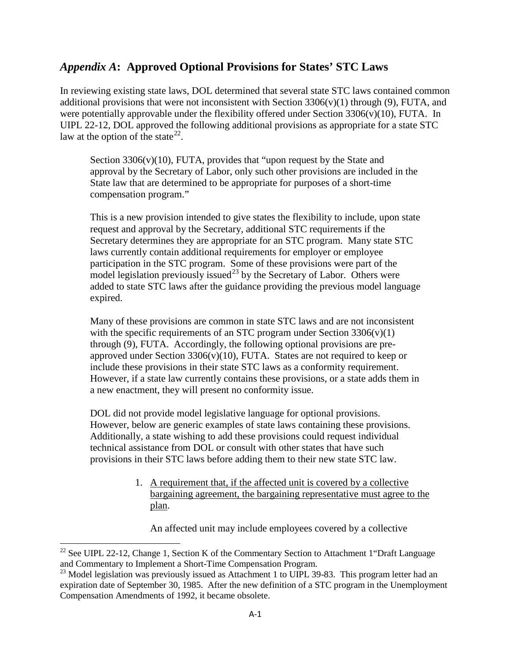### *Appendix A***: Approved Optional Provisions for States' STC Laws**

In reviewing existing state laws, DOL determined that several state STC laws contained common additional provisions that were not inconsistent with Section  $3306(v)(1)$  through (9), FUTA, and were potentially approvable under the flexibility offered under Section  $3306(v)(10)$ , FUTA. In UIPL 22-12, DOL approved the following additional provisions as appropriate for a state STC law at the option of the state<sup>22</sup>.

Section 3306(v)(10), FUTA, provides that "upon request by the State and approval by the Secretary of Labor, only such other provisions are included in the State law that are determined to be appropriate for purposes of a short-time compensation program."

This is a new provision intended to give states the flexibility to include, upon state request and approval by the Secretary, additional STC requirements if the Secretary determines they are appropriate for an STC program. Many state STC laws currently contain additional requirements for employer or employee participation in the STC program. Some of these provisions were part of the model legislation previously issued<sup>[23](#page-47-1)</sup> by the Secretary of Labor. Others were added to state STC laws after the guidance providing the previous model language expired.

Many of these provisions are common in state STC laws and are not inconsistent with the specific requirements of an STC program under Section  $3306(v)(1)$ through (9), FUTA. Accordingly, the following optional provisions are preapproved under Section  $3306(v)(10)$ , FUTA. States are not required to keep or include these provisions in their state STC laws as a conformity requirement. However, if a state law currently contains these provisions, or a state adds them in a new enactment, they will present no conformity issue.

DOL did not provide model legislative language for optional provisions. However, below are generic examples of state laws containing these provisions. Additionally, a state wishing to add these provisions could request individual technical assistance from DOL or consult with other states that have such provisions in their STC laws before adding them to their new state STC law.

> 1. A requirement that, if the affected unit is covered by a collective bargaining agreement, the bargaining representative must agree to the plan.

An affected unit may include employees covered by a collective

l

<span id="page-47-0"></span> $22$  See UIPL 22-12, Change 1, Section K of the Commentary Section to Attachment 1 "Draft Language" and Commentary to Implement a Short-Time Compensation Program.

<span id="page-47-1"></span><sup>&</sup>lt;sup>23</sup> Model legislation was previously issued as Attachment 1 to UIPL 39-83. This program letter had an expiration date of September 30, 1985. After the new definition of a STC program in the Unemployment Compensation Amendments of 1992, it became obsolete.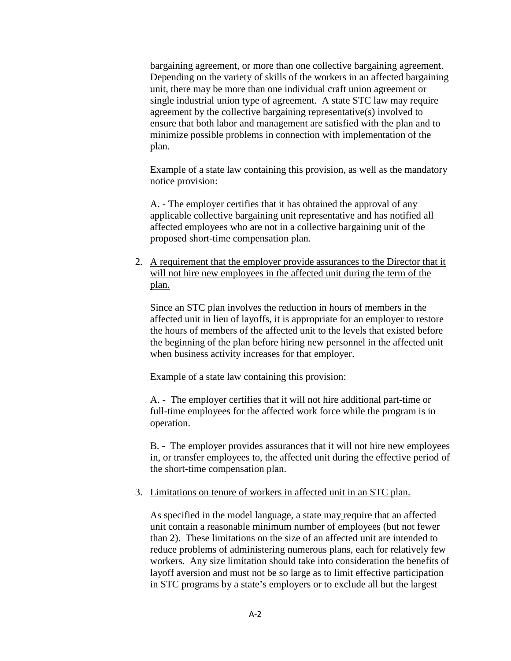bargaining agreement, or more than one collective bargaining agreement. Depending on the variety of skills of the workers in an affected bargaining unit, there may be more than one individual craft union agreement or single industrial union type of agreement. A state STC law may require agreement by the collective bargaining representative(s) involved to ensure that both labor and management are satisfied with the plan and to minimize possible problems in connection with implementation of the plan.

Example of a state law containing this provision, as well as the mandatory notice provision:

A. - The employer certifies that it has obtained the approval of any applicable collective bargaining unit representative and has notified all affected employees who are not in a collective bargaining unit of the proposed short-time compensation plan.

2. A requirement that the employer provide assurances to the Director that it will not hire new employees in the affected unit during the term of the plan.

Since an STC plan involves the reduction in hours of members in the affected unit in lieu of layoffs, it is appropriate for an employer to restore the hours of members of the affected unit to the levels that existed before the beginning of the plan before hiring new personnel in the affected unit when business activity increases for that employer.

Example of a state law containing this provision:

A. - The employer certifies that it will not hire additional part-time or full-time employees for the affected work force while the program is in operation.

B. - The employer provides assurances that it will not hire new employees in, or transfer employees to, the affected unit during the effective period of the short-time compensation plan.

#### 3. Limitations on tenure of workers in affected unit in an STC plan.

As specified in the model language, a state may require that an affected unit contain a reasonable minimum number of employees (but not fewer than 2). These limitations on the size of an affected unit are intended to reduce problems of administering numerous plans, each for relatively few workers. Any size limitation should take into consideration the benefits of layoff aversion and must not be so large as to limit effective participation in STC programs by a state's employers or to exclude all but the largest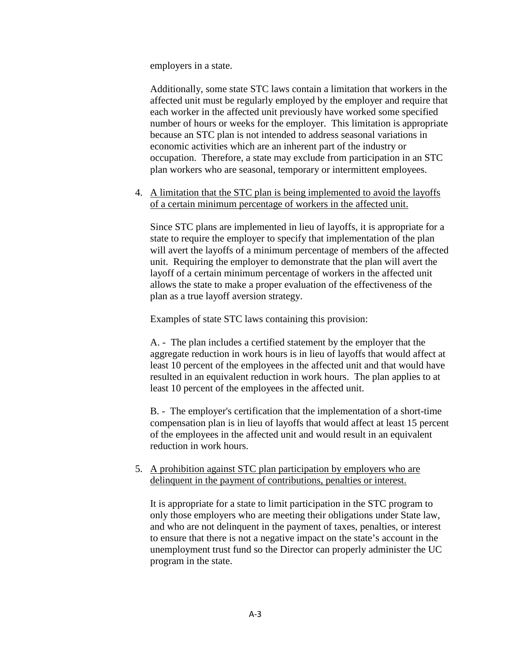employers in a state.

Additionally, some state STC laws contain a limitation that workers in the affected unit must be regularly employed by the employer and require that each worker in the affected unit previously have worked some specified number of hours or weeks for the employer. This limitation is appropriate because an STC plan is not intended to address seasonal variations in economic activities which are an inherent part of the industry or occupation. Therefore, a state may exclude from participation in an STC plan workers who are seasonal, temporary or intermittent employees.

4. A limitation that the STC plan is being implemented to avoid the layoffs of a certain minimum percentage of workers in the affected unit.

Since STC plans are implemented in lieu of layoffs, it is appropriate for a state to require the employer to specify that implementation of the plan will avert the layoffs of a minimum percentage of members of the affected unit. Requiring the employer to demonstrate that the plan will avert the layoff of a certain minimum percentage of workers in the affected unit allows the state to make a proper evaluation of the effectiveness of the plan as a true layoff aversion strategy.

Examples of state STC laws containing this provision:

A. - The plan includes a certified statement by the employer that the aggregate reduction in work hours is in lieu of layoffs that would affect at least 10 percent of the employees in the affected unit and that would have resulted in an equivalent reduction in work hours. The plan applies to at least 10 percent of the employees in the affected unit.

B. - The employer's certification that the implementation of a short-time compensation plan is in lieu of layoffs that would affect at least 15 percent of the employees in the affected unit and would result in an equivalent reduction in work hours.

5. A prohibition against STC plan participation by employers who are delinquent in the payment of contributions, penalties or interest.

It is appropriate for a state to limit participation in the STC program to only those employers who are meeting their obligations under State law, and who are not delinquent in the payment of taxes, penalties, or interest to ensure that there is not a negative impact on the state's account in the unemployment trust fund so the Director can properly administer the UC program in the state.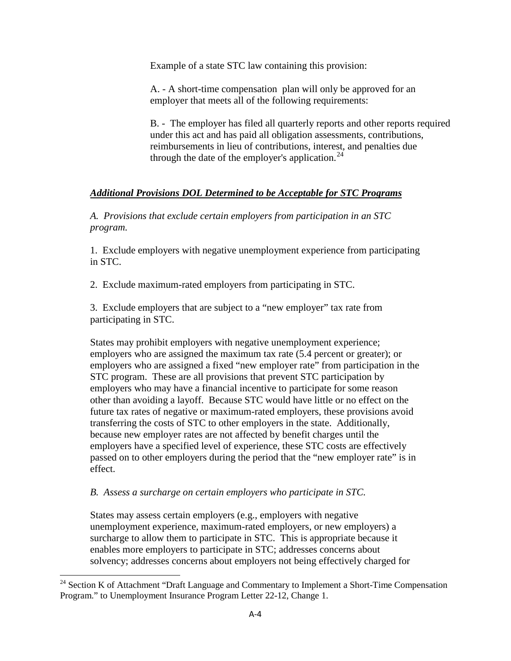Example of a state STC law containing this provision:

A. - A short-time compensation plan will only be approved for an employer that meets all of the following requirements:

B. - The employer has filed all quarterly reports and other reports required under this act and has paid all obligation assessments, contributions, reimbursements in lieu of contributions, interest, and penalties due through the date of the employer's application.  $24$ 

### *Additional Provisions DOL Determined to be Acceptable for STC Programs*

*A. Provisions that exclude certain employers from participation in an STC program.* 

1. Exclude employers with negative unemployment experience from participating in STC.

2. Exclude maximum-rated employers from participating in STC.

3. Exclude employers that are subject to a "new employer" tax rate from participating in STC.

States may prohibit employers with negative unemployment experience; employers who are assigned the maximum tax rate (5.4 percent or greater); or employers who are assigned a fixed "new employer rate" from participation in the STC program. These are all provisions that prevent STC participation by employers who may have a financial incentive to participate for some reason other than avoiding a layoff. Because STC would have little or no effect on the future tax rates of negative or maximum-rated employers, these provisions avoid transferring the costs of STC to other employers in the state. Additionally, because new employer rates are not affected by benefit charges until the employers have a specified level of experience, these STC costs are effectively passed on to other employers during the period that the "new employer rate" is in effect.

#### *B. Assess a surcharge on certain employers who participate in STC.*

l

States may assess certain employers (e.g., employers with negative unemployment experience, maximum-rated employers, or new employers) a surcharge to allow them to participate in STC. This is appropriate because it enables more employers to participate in STC; addresses concerns about solvency; addresses concerns about employers not being effectively charged for

<span id="page-50-0"></span><sup>&</sup>lt;sup>24</sup> Section K of Attachment "Draft Language and Commentary to Implement a Short-Time Compensation Program." to Unemployment Insurance Program Letter 22-12, Change 1.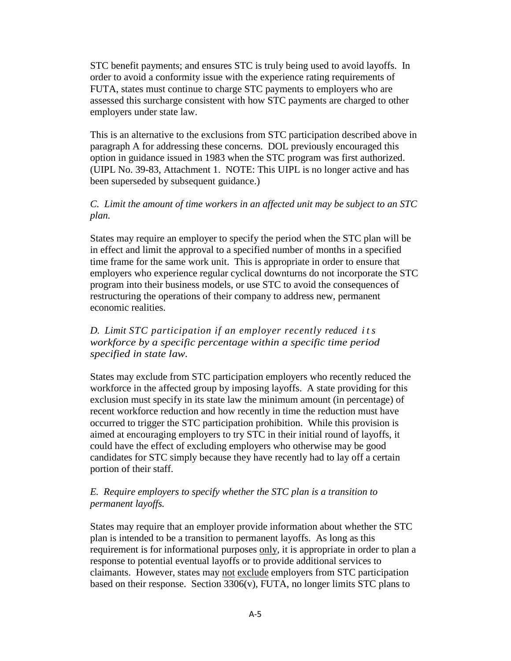STC benefit payments; and ensures STC is truly being used to avoid layoffs. In order to avoid a conformity issue with the experience rating requirements of FUTA, states must continue to charge STC payments to employers who are assessed this surcharge consistent with how STC payments are charged to other employers under state law.

This is an alternative to the exclusions from STC participation described above in paragraph A for addressing these concerns. DOL previously encouraged this option in guidance issued in 1983 when the STC program was first authorized. (UIPL No. 39-83, Attachment 1. NOTE: This UIPL is no longer active and has been superseded by subsequent guidance.)

#### *C. Limit the amount of time workers in an affected unit may be subject to an STC plan.*

States may require an employer to specify the period when the STC plan will be in effect and limit the approval to a specified number of months in a specified time frame for the same work unit. This is appropriate in order to ensure that employers who experience regular cyclical downturns do not incorporate the STC program into their business models, or use STC to avoid the consequences of restructuring the operations of their company to address new, permanent economic realities.

#### *D. Limit STC participation if an employer recently reduced its workforce by a specific percentage within a specific time period specified in state law.*

States may exclude from STC participation employers who recently reduced the workforce in the affected group by imposing layoffs. A state providing for this exclusion must specify in its state law the minimum amount (in percentage) of recent workforce reduction and how recently in time the reduction must have occurred to trigger the STC participation prohibition. While this provision is aimed at encouraging employers to try STC in their initial round of layoffs, it could have the effect of excluding employers who otherwise may be good candidates for STC simply because they have recently had to lay off a certain portion of their staff.

#### *E. Require employers to specify whether the STC plan is a transition to permanent layoffs.*

States may require that an employer provide information about whether the STC plan is intended to be a transition to permanent layoffs. As long as this requirement is for informational purposes only, it is appropriate in order to plan a response to potential eventual layoffs or to provide additional services to claimants. However, states may not exclude employers from STC participation based on their response. Section  $3306(v)$ , FUTA, no longer limits STC plans to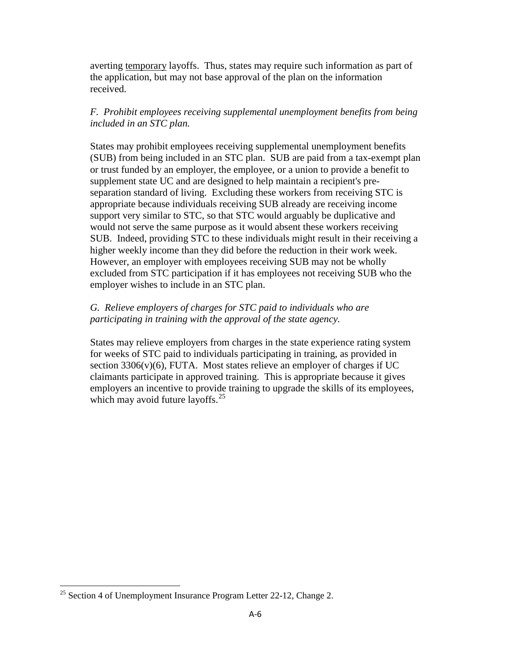averting temporary layoffs. Thus, states may require such information as part of the application, but may not base approval of the plan on the information received.

#### *F. Prohibit employees receiving supplemental unemployment benefits from being included in an STC plan.*

States may prohibit employees receiving supplemental unemployment benefits (SUB) from being included in an STC plan. SUB are paid from a tax-exempt plan or trust funded by an employer, the employee, or a union to provide a benefit to supplement state UC and are designed to help maintain a recipient's preseparation standard of living. Excluding these workers from receiving STC is appropriate because individuals receiving SUB already are receiving income support very similar to STC, so that STC would arguably be duplicative and would not serve the same purpose as it would absent these workers receiving SUB. Indeed, providing STC to these individuals might result in their receiving a higher weekly income than they did before the reduction in their work week. However, an employer with employees receiving SUB may not be wholly excluded from STC participation if it has employees not receiving SUB who the employer wishes to include in an STC plan.

#### *G. Relieve employers of charges for STC paid to individuals who are participating in training with the approval of the state agency.*

States may relieve employers from charges in the state experience rating system for weeks of STC paid to individuals participating in training, as provided in section  $3306(v)(6)$ , FUTA. Most states relieve an employer of charges if UC claimants participate in approved training. This is appropriate because it gives employers an incentive to provide training to upgrade the skills of its employees, which may avoid future layoffs. $^{25}$  $^{25}$  $^{25}$ 

<span id="page-52-0"></span>l  $25$  Section 4 of Unemployment Insurance Program Letter 22-12, Change 2.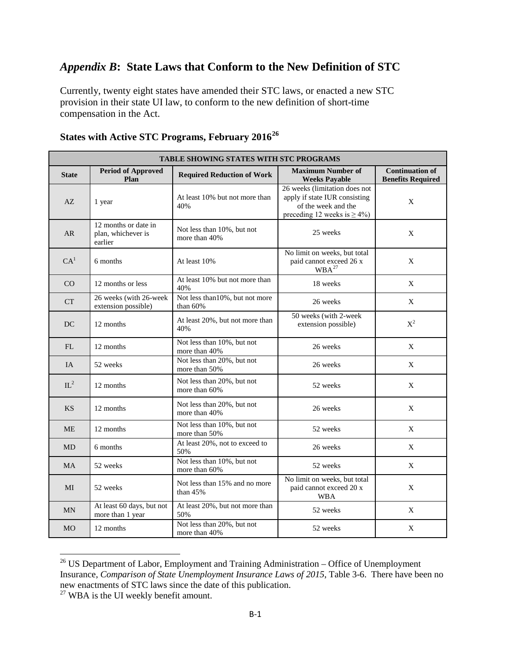# *Appendix B***: State Laws that Conform to the New Definition of STC**

Currently, twenty eight states have amended their STC laws, or enacted a new STC provision in their state UI law, to conform to the new definition of short-time compensation in the Act.

| TABLE SHOWING STATES WITH STC PROGRAMS |                                                       |                                               |                                                                                                                             |                                                    |  |
|----------------------------------------|-------------------------------------------------------|-----------------------------------------------|-----------------------------------------------------------------------------------------------------------------------------|----------------------------------------------------|--|
| <b>State</b>                           | <b>Period of Approved</b><br>Plan                     | <b>Required Reduction of Work</b>             | <b>Maximum Number of</b><br><b>Weeks Payable</b>                                                                            | <b>Continuation of</b><br><b>Benefits Required</b> |  |
| AZ                                     | 1 year                                                | At least 10% but not more than<br>40%         | 26 weeks (limitation does not<br>apply if state IUR consisting<br>of the week and the<br>preceding 12 weeks is $\geq 4\%$ ) | X                                                  |  |
| <b>AR</b>                              | 12 months or date in<br>plan, whichever is<br>earlier | Not less than 10%, but not<br>more than 40%   | 25 weeks                                                                                                                    | X                                                  |  |
| CA <sup>1</sup>                        | 6 months                                              | At least 10%                                  | No limit on weeks, but total<br>paid cannot exceed 26 x<br>WBA <sup>27</sup>                                                | X                                                  |  |
| CO                                     | 12 months or less                                     | At least 10% but not more than<br>40%         | 18 weeks                                                                                                                    | X                                                  |  |
| <b>CT</b>                              | 26 weeks (with 26-week<br>extension possible)         | Not less than 10%, but not more<br>than $60%$ | 26 weeks                                                                                                                    | X                                                  |  |
| DC                                     | 12 months                                             | At least 20%, but not more than<br>40%        | 50 weeks (with 2-week<br>extension possible)                                                                                | $X^2$                                              |  |
| FL                                     | 12 months                                             | Not less than 10%, but not<br>more than 40%   | 26 weeks                                                                                                                    | X                                                  |  |
| <b>IA</b>                              | 52 weeks                                              | Not less than 20%, but not<br>more than 50%   | 26 weeks                                                                                                                    | X                                                  |  |
| $IL^2$                                 | 12 months                                             | Not less than 20%, but not<br>more than 60%   | 52 weeks                                                                                                                    | X                                                  |  |
| <b>KS</b>                              | 12 months                                             | Not less than 20%, but not<br>more than 40%   | 26 weeks                                                                                                                    | X                                                  |  |
| <b>ME</b>                              | 12 months                                             | Not less than 10%, but not<br>more than 50%   | 52 weeks                                                                                                                    | X                                                  |  |
| <b>MD</b>                              | 6 months                                              | At least 20%, not to exceed to<br>50%         | 26 weeks                                                                                                                    | X                                                  |  |
| <b>MA</b>                              | 52 weeks                                              | Not less than 10%, but not<br>more than 60%   | 52 weeks                                                                                                                    | X                                                  |  |
| MI                                     | 52 weeks                                              | Not less than 15% and no more<br>than 45%     | No limit on weeks, but total<br>paid cannot exceed 20 x<br><b>WBA</b>                                                       | X                                                  |  |
| <b>MN</b>                              | At least 60 days, but not<br>more than 1 year         | At least 20%, but not more than<br>50%        | 52 weeks                                                                                                                    | $\mathbf X$                                        |  |
| <b>MO</b>                              | 12 months                                             | Not less than 20%, but not<br>more than 40%   | 52 weeks                                                                                                                    | X                                                  |  |

# **States with Active STC Programs, February 2016[26](#page-53-0)**

 $\overline{\phantom{a}}$ 

<span id="page-53-0"></span> $26$  US Department of Labor, Employment and Training Administration – Office of Unemployment Insurance, *Comparison of State Unemployment Insurance Laws of 2015*, Table 3-6. There have been no new enactments of STC laws since the date of this publication.

<span id="page-53-1"></span> $27$  WBA is the UI weekly benefit amount.